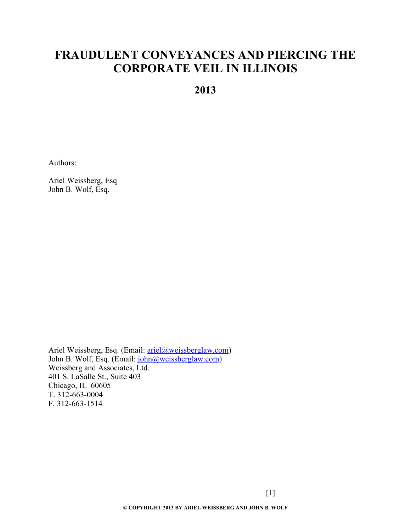# **FRAUDULENT CONVEYANCES AND PIERCING THE CORPORATE VEIL IN ILLINOIS**

**2013**

Authors:

Ariel Weissberg, Esq John B. Wolf, Esq.

Ariel Weissberg, Esq. (Email: [ariel@weissberglaw.com\)](mailto:ariel@weissberglaw.com) John B. Wolf, Esq. (Email: [john@weissberglaw.com\)](mailto:john@weissberglaw.com) Weissberg and Associates, Ltd. 401 S. LaSalle St., Suite 403 Chicago, IL 60605 T. 312-663-0004 F. 312-663-1514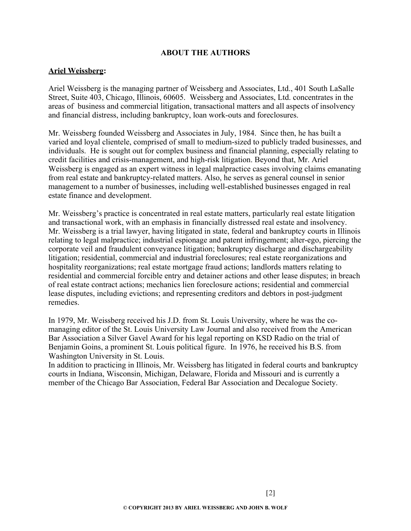## **ABOUT THE AUTHORS**

## **Ariel Weissberg:**

Ariel Weissberg is the managing partner of Weissberg and Associates, Ltd., 401 South LaSalle Street, Suite 403, Chicago, Illinois, 60605. Weissberg and Associates, Ltd. concentrates in the areas of business and commercial litigation, transactional matters and all aspects of insolvency and financial distress, including bankruptcy, loan work-outs and foreclosures.

Mr. Weissberg founded Weissberg and Associates in July, 1984. Since then, he has built a varied and loyal clientele, comprised of small to medium-sized to publicly traded businesses, and individuals. He is sought out for complex business and financial planning, especially relating to credit facilities and crisis-management, and high-risk litigation. Beyond that, Mr. Ariel Weissberg is engaged as an expert witness in legal malpractice cases involving claims emanating from real estate and bankruptcy-related matters. Also, he serves as general counsel in senior management to a number of businesses, including well-established businesses engaged in real estate finance and development.

Mr. Weissberg's practice is concentrated in real estate matters, particularly real estate litigation and transactional work, with an emphasis in financially distressed real estate and insolvency. Mr. Weissberg is a trial lawyer, having litigated in state, federal and bankruptcy courts in Illinois relating to legal malpractice; industrial espionage and patent infringement; alter-ego, piercing the corporate veil and fraudulent conveyance litigation; bankruptcy discharge and dischargeability litigation; residential, commercial and industrial foreclosures; real estate reorganizations and hospitality reorganizations; real estate mortgage fraud actions; landlords matters relating to residential and commercial forcible entry and detainer actions and other lease disputes; in breach of real estate contract actions; mechanics lien foreclosure actions; residential and commercial lease disputes, including evictions; and representing creditors and debtors in post-judgment remedies.

In 1979, Mr. Weissberg received his J.D. from St. Louis University, where he was the comanaging editor of the St. Louis University Law Journal and also received from the American Bar Association a Silver Gavel Award for his legal reporting on KSD Radio on the trial of Benjamin Goins, a prominent St. Louis political figure. In 1976, he received his B.S. from Washington University in St. Louis.

In addition to practicing in Illinois, Mr. Weissberg has litigated in federal courts and bankruptcy courts in Indiana, Wisconsin, Michigan, Delaware, Florida and Missouri and is currently a member of the Chicago Bar Association, Federal Bar Association and Decalogue Society.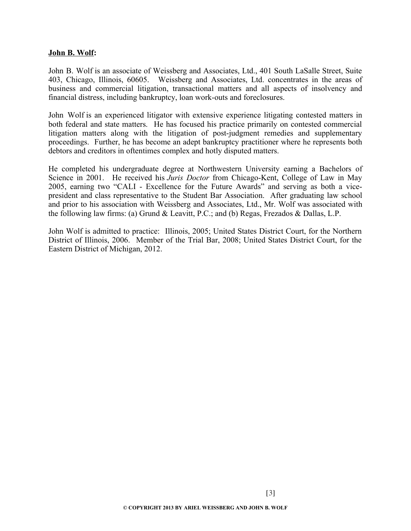#### **John B. Wolf:**

John B. Wolf is an associate of Weissberg and Associates, Ltd., 401 South LaSalle Street, Suite 403, Chicago, Illinois, 60605. Weissberg and Associates, Ltd. concentrates in the areas of business and commercial litigation, transactional matters and all aspects of insolvency and financial distress, including bankruptcy, loan work-outs and foreclosures.

John Wolf is an experienced litigator with extensive experience litigating contested matters in both federal and state matters. He has focused his practice primarily on contested commercial litigation matters along with the litigation of post-judgment remedies and supplementary proceedings. Further, he has become an adept bankruptcy practitioner where he represents both debtors and creditors in oftentimes complex and hotly disputed matters.

He completed his undergraduate degree at Northwestern University earning a Bachelors of Science in 2001. He received his *Juris Doctor* from Chicago-Kent, College of Law in May 2005, earning two "CALI - Excellence for the Future Awards" and serving as both a vicepresident and class representative to the Student Bar Association. After graduating law school and prior to his association with Weissberg and Associates, Ltd., Mr. Wolf was associated with the following law firms: (a) Grund & Leavitt, P.C.; and (b) Regas, Frezados & Dallas, L.P.

John Wolf is admitted to practice: Illinois, 2005; United States District Court, for the Northern District of Illinois, 2006. Member of the Trial Bar, 2008; United States District Court, for the Eastern District of Michigan, 2012.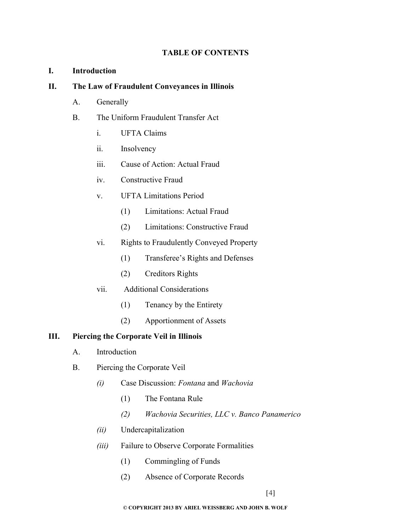## **TABLE OF CONTENTS**

## **I. Introduction**

## **II. The Law of Fraudulent Conveyances in Illinois**

- A. Generally
- B. The Uniform Fraudulent Transfer Act
	- i. UFTA Claims
	- ii. Insolvency
	- iii. Cause of Action: Actual Fraud
	- iv. Constructive Fraud
	- v. UFTA Limitations Period
		- (1) Limitations: Actual Fraud
		- (2) Limitations: Constructive Fraud
	- vi. Rights to Fraudulently Conveyed Property
		- (1) Transferee's Rights and Defenses
		- (2) Creditors Rights
	- vii. Additional Considerations
		- (1) Tenancy by the Entirety
		- (2) Apportionment of Assets

## **III. Piercing the Corporate Veil in Illinois**

- A. Introduction
- B. Piercing the Corporate Veil
	- *(i)* Case Discussion: *Fontana* and *Wachovia*
		- (1) The Fontana Rule
		- *(2) Wachovia Securities, LLC v. Banco Panamerico*
	- *(ii)* Undercapitalization
	- *(iii)* Failure to Observe Corporate Formalities
		- (1) Commingling of Funds
		- (2) Absence of Corporate Records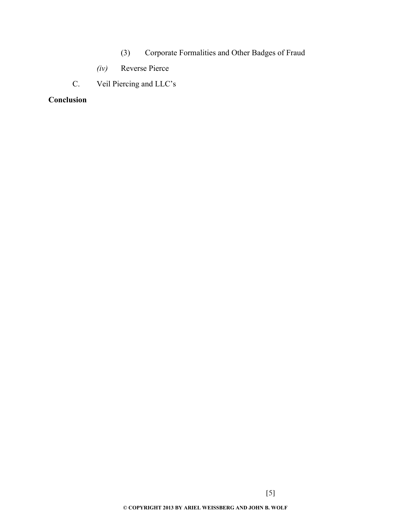- (3) Corporate Formalities and Other Badges of Fraud
- *(iv)* Reverse Pierce
- C. Veil Piercing and LLC's

## **Conclusion**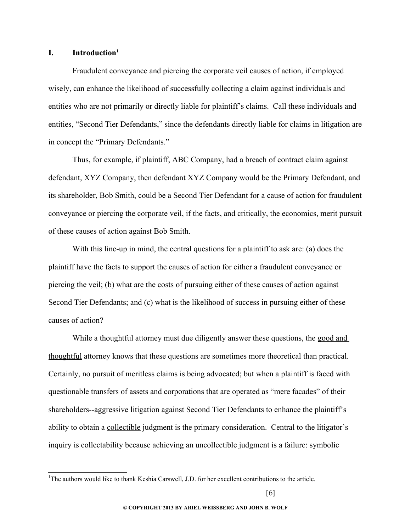### **I. Introduction[1](#page-5-0)**

Fraudulent conveyance and piercing the corporate veil causes of action, if employed wisely, can enhance the likelihood of successfully collecting a claim against individuals and entities who are not primarily or directly liable for plaintiff's claims. Call these individuals and entities, "Second Tier Defendants," since the defendants directly liable for claims in litigation are in concept the "Primary Defendants."

Thus, for example, if plaintiff, ABC Company, had a breach of contract claim against defendant, XYZ Company, then defendant XYZ Company would be the Primary Defendant, and its shareholder, Bob Smith, could be a Second Tier Defendant for a cause of action for fraudulent conveyance or piercing the corporate veil, if the facts, and critically, the economics, merit pursuit of these causes of action against Bob Smith.

With this line-up in mind, the central questions for a plaintiff to ask are: (a) does the plaintiff have the facts to support the causes of action for either a fraudulent conveyance or piercing the veil; (b) what are the costs of pursuing either of these causes of action against Second Tier Defendants; and (c) what is the likelihood of success in pursuing either of these causes of action?

While a thoughtful attorney must due diligently answer these questions, the good and thoughtful attorney knows that these questions are sometimes more theoretical than practical. Certainly, no pursuit of meritless claims is being advocated; but when a plaintiff is faced with questionable transfers of assets and corporations that are operated as "mere facades" of their shareholders--aggressive litigation against Second Tier Defendants to enhance the plaintiff's ability to obtain a collectible judgment is the primary consideration. Central to the litigator's inquiry is collectability because achieving an uncollectible judgment is a failure: symbolic

<span id="page-5-0"></span><sup>&</sup>lt;sup>1</sup>The authors would like to thank Keshia Carswell, J.D. for her excellent contributions to the article.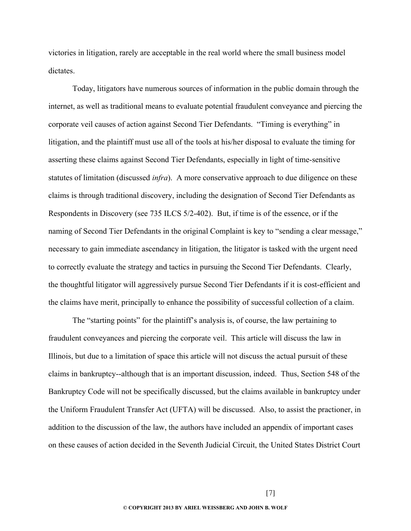victories in litigation, rarely are acceptable in the real world where the small business model dictates.

Today, litigators have numerous sources of information in the public domain through the internet, as well as traditional means to evaluate potential fraudulent conveyance and piercing the corporate veil causes of action against Second Tier Defendants. "Timing is everything" in litigation, and the plaintiff must use all of the tools at his/her disposal to evaluate the timing for asserting these claims against Second Tier Defendants, especially in light of time-sensitive statutes of limitation (discussed *infra*). A more conservative approach to due diligence on these claims is through traditional discovery, including the designation of Second Tier Defendants as Respondents in Discovery (see 735 ILCS 5/2-402). But, if time is of the essence, or if the naming of Second Tier Defendants in the original Complaint is key to "sending a clear message," necessary to gain immediate ascendancy in litigation, the litigator is tasked with the urgent need to correctly evaluate the strategy and tactics in pursuing the Second Tier Defendants. Clearly, the thoughtful litigator will aggressively pursue Second Tier Defendants if it is cost-efficient and the claims have merit, principally to enhance the possibility of successful collection of a claim.

The "starting points" for the plaintiff's analysis is, of course, the law pertaining to fraudulent conveyances and piercing the corporate veil. This article will discuss the law in Illinois, but due to a limitation of space this article will not discuss the actual pursuit of these claims in bankruptcy--although that is an important discussion, indeed. Thus, Section 548 of the Bankruptcy Code will not be specifically discussed, but the claims available in bankruptcy under the Uniform Fraudulent Transfer Act (UFTA) will be discussed. Also, to assist the practioner, in addition to the discussion of the law, the authors have included an appendix of important cases on these causes of action decided in the Seventh Judicial Circuit, the United States District Court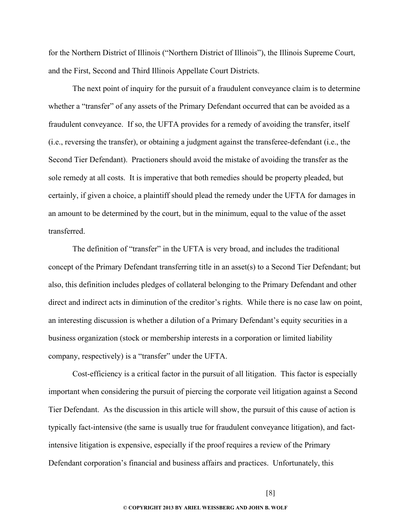for the Northern District of Illinois ("Northern District of Illinois"), the Illinois Supreme Court, and the First, Second and Third Illinois Appellate Court Districts.

The next point of inquiry for the pursuit of a fraudulent conveyance claim is to determine whether a "transfer" of any assets of the Primary Defendant occurred that can be avoided as a fraudulent conveyance. If so, the UFTA provides for a remedy of avoiding the transfer, itself (i.e., reversing the transfer), or obtaining a judgment against the transferee-defendant (i.e., the Second Tier Defendant). Practioners should avoid the mistake of avoiding the transfer as the sole remedy at all costs. It is imperative that both remedies should be property pleaded, but certainly, if given a choice, a plaintiff should plead the remedy under the UFTA for damages in an amount to be determined by the court, but in the minimum, equal to the value of the asset transferred.

The definition of "transfer" in the UFTA is very broad, and includes the traditional concept of the Primary Defendant transferring title in an asset(s) to a Second Tier Defendant; but also, this definition includes pledges of collateral belonging to the Primary Defendant and other direct and indirect acts in diminution of the creditor's rights. While there is no case law on point, an interesting discussion is whether a dilution of a Primary Defendant's equity securities in a business organization (stock or membership interests in a corporation or limited liability company, respectively) is a "transfer" under the UFTA.

Cost-efficiency is a critical factor in the pursuit of all litigation. This factor is especially important when considering the pursuit of piercing the corporate veil litigation against a Second Tier Defendant. As the discussion in this article will show, the pursuit of this cause of action is typically fact-intensive (the same is usually true for fraudulent conveyance litigation), and factintensive litigation is expensive, especially if the proof requires a review of the Primary Defendant corporation's financial and business affairs and practices. Unfortunately, this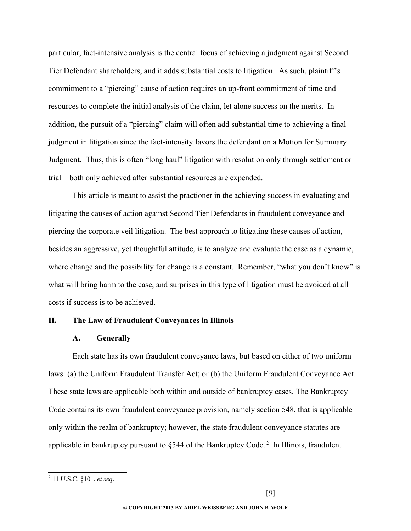particular, fact-intensive analysis is the central focus of achieving a judgment against Second Tier Defendant shareholders, and it adds substantial costs to litigation. As such, plaintiff's commitment to a "piercing" cause of action requires an up-front commitment of time and resources to complete the initial analysis of the claim, let alone success on the merits. In addition, the pursuit of a "piercing" claim will often add substantial time to achieving a final judgment in litigation since the fact-intensity favors the defendant on a Motion for Summary Judgment. Thus, this is often "long haul" litigation with resolution only through settlement or trial—both only achieved after substantial resources are expended.

This article is meant to assist the practioner in the achieving success in evaluating and litigating the causes of action against Second Tier Defendants in fraudulent conveyance and piercing the corporate veil litigation. The best approach to litigating these causes of action, besides an aggressive, yet thoughtful attitude, is to analyze and evaluate the case as a dynamic, where change and the possibility for change is a constant. Remember, "what you don't know" is what will bring harm to the case, and surprises in this type of litigation must be avoided at all costs if success is to be achieved.

#### **II. The Law of Fraudulent Conveyances in Illinois**

#### **A. Generally**

Each state has its own fraudulent conveyance laws, but based on either of two uniform laws: (a) the Uniform Fraudulent Transfer Act; or (b) the Uniform Fraudulent Conveyance Act. These state laws are applicable both within and outside of bankruptcy cases. The Bankruptcy Code contains its own fraudulent conveyance provision, namely section 548, that is applicable only within the realm of bankruptcy; however, the state fraudulent conveyance statutes are applicable in bankruptcy pursuant to  $\S$ 544 of the Bankruptcy Code.<sup>[2](#page-8-0)</sup> In Illinois, fraudulent

<span id="page-8-0"></span><sup>2</sup> 11 U.S.C. §101, *et seq*.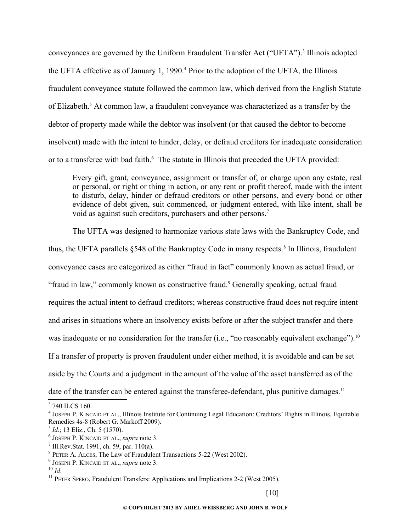conveyances are governed by the Uniform Fraudulent Transfer Act ("UFTA").<sup>[3](#page-9-0)</sup> Illinois adopted the UFTA effective as of January 1, 1990.<sup>[4](#page-9-1)</sup> Prior to the adoption of the UFTA, the Illinois fraudulent conveyance statute followed the common law, which derived from the English Statute of Elizabeth.<sup>[5](#page-9-2)</sup> At common law, a fraudulent conveyance was characterized as a transfer by the debtor of property made while the debtor was insolvent (or that caused the debtor to become insolvent) made with the intent to hinder, delay, or defraud creditors for inadequate consideration or to a transferee with bad faith.<sup>[6](#page-9-3)</sup> The statute in Illinois that preceded the UFTA provided:

Every gift, grant, conveyance, assignment or transfer of, or charge upon any estate, real or personal, or right or thing in action, or any rent or profit thereof, made with the intent to disturb, delay, hinder or defraud creditors or other persons, and every bond or other evidence of debt given, suit commenced, or judgment entered, with like intent, shall be void as against such creditors, purchasers and other persons.<sup>[7](#page-9-4)</sup>

The UFTA was designed to harmonize various state laws with the Bankruptcy Code, and thus, the UFTA parallels  $\S$ 54[8](#page-9-5) of the Bankruptcy Code in many respects.<sup>8</sup> In Illinois, fraudulent conveyance cases are categorized as either "fraud in fact" commonly known as actual fraud, or "fraud in law," commonly known as constructive fraud.<sup>[9](#page-9-6)</sup> Generally speaking, actual fraud requires the actual intent to defraud creditors; whereas constructive fraud does not require intent and arises in situations where an insolvency exists before or after the subject transfer and there was inadequate or no consideration for the transfer (i.e., "no reasonably equivalent exchange").<sup>[10](#page-9-7)</sup> If a transfer of property is proven fraudulent under either method, it is avoidable and can be set aside by the Courts and a judgment in the amount of the value of the asset transferred as of the date of the transfer can be entered against the transferee-defendant, plus punitive damages.<sup>[11](#page-9-8)</sup>

<span id="page-9-0"></span><sup>&</sup>lt;sup>3</sup> 740 ILCS 160.

<span id="page-9-1"></span><sup>4</sup> JOSEPH P. KINCAID ET AL., Illinois Institute for Continuing Legal Education: Creditors' Rights in Illinois, Equitable Remedies 4s-8 (Robert G. Markoff 2009).

<span id="page-9-2"></span><sup>5</sup> *Id*.; 13 Eliz., Ch. 5 (1570).

<span id="page-9-3"></span><sup>6</sup> JOSEPH P. KINCAID ET AL., *supra* note 3.

<span id="page-9-4"></span> $7$  Ill.Rev.Stat. 1991, ch. 59, par. 110(a).

<span id="page-9-5"></span><sup>8</sup> PETER A. ALCES, The Law of Fraudulent Transactions 5-22 (West 2002).

<span id="page-9-6"></span><sup>9</sup> JOSEPH P. KINCAID ET AL., *supra* note 3.

<span id="page-9-7"></span> $10 \,$ *Id.* 

<span id="page-9-8"></span><sup>&</sup>lt;sup>11</sup> PETER SPERO, Fraudulent Transfers: Applications and Implications 2-2 (West 2005).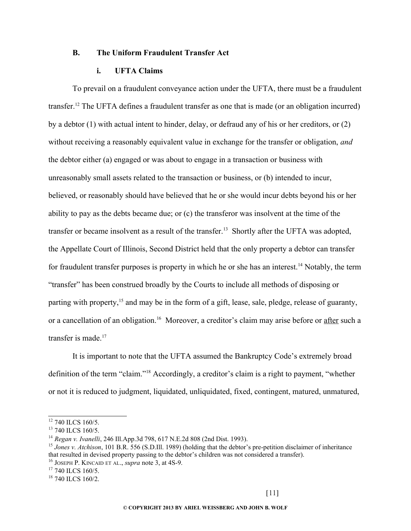## **B. The Uniform Fraudulent Transfer Act**

## **i. UFTA Claims**

To prevail on a fraudulent conveyance action under the UFTA, there must be a fraudulent transfer.[12](#page-10-0) The UFTA defines a fraudulent transfer as one that is made (or an obligation incurred) by a debtor (1) with actual intent to hinder, delay, or defraud any of his or her creditors, or (2) without receiving a reasonably equivalent value in exchange for the transfer or obligation, *and* the debtor either (a) engaged or was about to engage in a transaction or business with unreasonably small assets related to the transaction or business, or (b) intended to incur, believed, or reasonably should have believed that he or she would incur debts beyond his or her ability to pay as the debts became due; or (c) the transferor was insolvent at the time of the transfer or became insolvent as a result of the transfer.[13](#page-10-1) Shortly after the UFTA was adopted, the Appellate Court of Illinois, Second District held that the only property a debtor can transfer for fraudulent transfer purposes is property in which he or she has an interest.<sup>[14](#page-10-2)</sup> Notably, the term "transfer" has been construed broadly by the Courts to include all methods of disposing or parting with property,<sup>[15](#page-10-3)</sup> and may be in the form of a gift, lease, sale, pledge, release of guaranty, or a cancellation of an obligation.<sup>[16](#page-10-4)</sup> Moreover, a creditor's claim may arise before or after such a transfer is made.<sup>[17](#page-10-5)</sup>

It is important to note that the UFTA assumed the Bankruptcy Code's extremely broad definition of the term "claim."[18](#page-10-6) Accordingly, a creditor's claim is a right to payment, "whether or not it is reduced to judgment, liquidated, unliquidated, fixed, contingent, matured, unmatured,

<span id="page-10-0"></span><sup>&</sup>lt;sup>12</sup> 740 ILCS 160/5.

<span id="page-10-1"></span><sup>&</sup>lt;sup>13</sup> 740 ILCS 160/5.

<span id="page-10-2"></span><sup>14</sup> *Regan v. Ivanelli*, 246 Ill.App.3d 798, 617 N.E.2d 808 (2nd Dist. 1993).

<span id="page-10-3"></span><sup>&</sup>lt;sup>15</sup> *Jones v. Atchison*, 101 B.R. 556 (S.D.Ill. 1989) (holding that the debtor's pre-petition disclaimer of inheritance that resulted in devised property passing to the debtor's children was not considered a transfer).

<span id="page-10-4"></span><sup>16</sup> JOSEPH P. KINCAID ET AL., *supra* note 3, at 4S-9.

<span id="page-10-5"></span> $17$  740 ILCS 160/5.

<span id="page-10-6"></span> $18$  740 ILCS 160/2.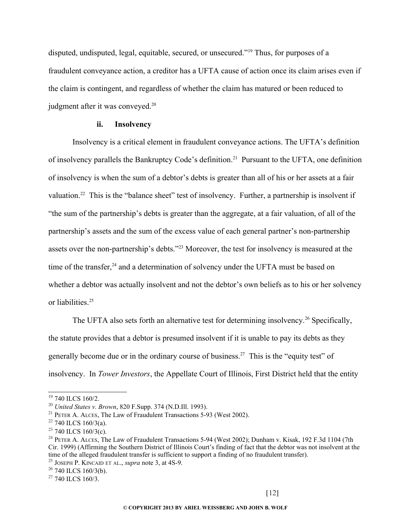disputed, undisputed, legal, equitable, secured, or unsecured."<sup>[19](#page-11-0)</sup> Thus, for purposes of a fraudulent conveyance action, a creditor has a UFTA cause of action once its claim arises even if the claim is contingent, and regardless of whether the claim has matured or been reduced to judgment after it was conveyed.<sup>[20](#page-11-1)</sup>

#### **ii. Insolvency**

Insolvency is a critical element in fraudulent conveyance actions. The UFTA's definition of insolvency parallels the Bankruptcy Code's definition.<sup>[21](#page-11-2)</sup> Pursuant to the UFTA, one definition of insolvency is when the sum of a debtor's debts is greater than all of his or her assets at a fair valuation.<sup>[22](#page-11-3)</sup> This is the "balance sheet" test of insolvency. Further, a partnership is insolvent if "the sum of the partnership's debts is greater than the aggregate, at a fair valuation, of all of the partnership's assets and the sum of the excess value of each general partner's non-partnership assets over the non-partnership's debts."[23](#page-11-4) Moreover, the test for insolvency is measured at the time of the transfer,<sup>[24](#page-11-5)</sup> and a determination of solvency under the UFTA must be based on whether a debtor was actually insolvent and not the debtor's own beliefs as to his or her solvency or liabilities.<sup>[25](#page-11-6)</sup>

The UFTA also sets forth an alternative test for determining insolvency.<sup>[26](#page-11-7)</sup> Specifically, the statute provides that a debtor is presumed insolvent if it is unable to pay its debts as they generally become due or in the ordinary course of business.[27](#page-11-8) This is the "equity test" of insolvency. In *Tower Investors*, the Appellate Court of Illinois, First District held that the entity

<span id="page-11-0"></span> $19$  740 ILCS 160/2.

<span id="page-11-1"></span><sup>20</sup> *United States v. Brown*, 820 F.Supp. 374 (N.D.Ill. 1993).

<span id="page-11-2"></span><sup>&</sup>lt;sup>21</sup> PETER A. ALCES, The Law of Fraudulent Transactions 5-93 (West 2002).

<span id="page-11-3"></span> $22$  740 ILCS 160/3(a).

<span id="page-11-4"></span> $23$  740 ILCS 160/3(c).

<span id="page-11-5"></span><sup>&</sup>lt;sup>24</sup> PETER A. ALCES, The Law of Fraudulent Transactions 5-94 (West 2002); Dunham v. Kisak, 192 F.3d 1104 (7th Cir. 1999) (Affirming the Southern District of Illinois Court's finding of fact that the debtor was not insolvent at the time of the alleged fraudulent transfer is sufficient to support a finding of no fraudulent transfer).

<span id="page-11-6"></span><sup>25</sup> JOSEPH P. KINCAID ET AL., *supra* note 3, at 4S-9.

<span id="page-11-7"></span> $26$  740 ILCS 160/3(b).

<span id="page-11-8"></span> $27$  740 ILCS 160/3.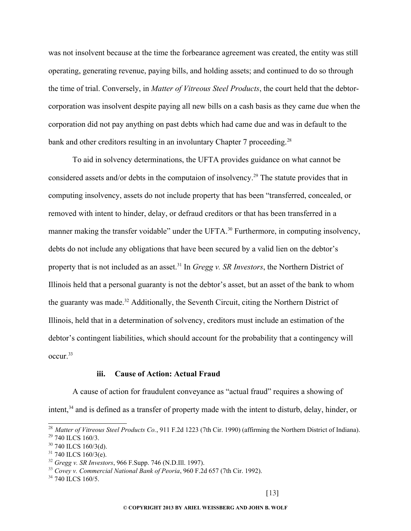was not insolvent because at the time the forbearance agreement was created, the entity was still operating, generating revenue, paying bills, and holding assets; and continued to do so through the time of trial. Conversely, in *Matter of Vitreous Steel Products*, the court held that the debtorcorporation was insolvent despite paying all new bills on a cash basis as they came due when the corporation did not pay anything on past debts which had came due and was in default to the bank and other creditors resulting in an involuntary Chapter 7 proceeding.<sup>[28](#page-12-0)</sup>

To aid in solvency determinations, the UFTA provides guidance on what cannot be considered assets and/or debts in the computaion of insolvency.<sup>[29](#page-12-1)</sup> The statute provides that in computing insolvency, assets do not include property that has been "transferred, concealed, or removed with intent to hinder, delay, or defraud creditors or that has been transferred in a manner making the transfer voidable" under the UFTA.<sup>[30](#page-12-2)</sup> Furthermore, in computing insolvency, debts do not include any obligations that have been secured by a valid lien on the debtor's property that is not included as an asset.<sup>[31](#page-12-3)</sup> In *Gregg v. SR Investors*, the Northern District of Illinois held that a personal guaranty is not the debtor's asset, but an asset of the bank to whom the guaranty was made.<sup>[32](#page-12-4)</sup> Additionally, the Seventh Circuit, citing the Northern District of Illinois, held that in a determination of solvency, creditors must include an estimation of the debtor's contingent liabilities, which should account for the probability that a contingency will occur.[33](#page-12-5)

#### **iii. Cause of Action: Actual Fraud**

A cause of action for fraudulent conveyance as "actual fraud" requires a showing of

intent,<sup>[34](#page-12-6)</sup> and is defined as a transfer of property made with the intent to disturb, delay, hinder, or

<span id="page-12-1"></span><span id="page-12-0"></span><sup>28</sup> *Matter of Vitreous Steel Products Co.*, 911 F.2d 1223 (7th Cir. 1990) (affirming the Northern District of Indiana). <sup>29</sup> 740 ILCS 160/3.

<span id="page-12-2"></span> $30$  740 ILCS 160/3(d).

<span id="page-12-3"></span> $31$  740 ILCS 160/3(e).

<span id="page-12-4"></span><sup>32</sup> *Gregg v. SR Investors*, 966 F.Supp. 746 (N.D.Ill. 1997).

<span id="page-12-5"></span><sup>33</sup> *Covey v. Commercial National Bank of Peoria*, 960 F.2d 657 (7th Cir. 1992).

<span id="page-12-6"></span><sup>&</sup>lt;sup>34</sup> 740 ILCS 160/5.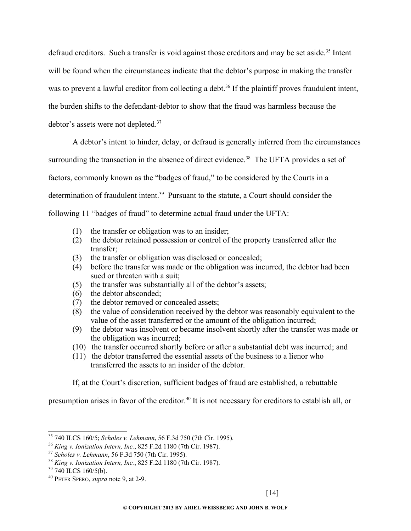defraud creditors. Such a transfer is void against those creditors and may be set aside.<sup>[35](#page-13-0)</sup> Intent will be found when the circumstances indicate that the debtor's purpose in making the transfer was to prevent a lawful creditor from collecting a debt.<sup>[36](#page-13-1)</sup> If the plaintiff proves fraudulent intent, the burden shifts to the defendant-debtor to show that the fraud was harmless because the debtor's assets were not depleted.<sup>[37](#page-13-2)</sup>

A debtor's intent to hinder, delay, or defraud is generally inferred from the circumstances

surrounding the transaction in the absence of direct evidence.<sup>[38](#page-13-3)</sup> The UFTA provides a set of

factors, commonly known as the "badges of fraud," to be considered by the Courts in a

determination of fraudulent intent.<sup>[39](#page-13-4)</sup> Pursuant to the statute, a Court should consider the

following 11 "badges of fraud" to determine actual fraud under the UFTA:

- (1) the transfer or obligation was to an insider;
- (2) the debtor retained possession or control of the property transferred after the transfer;
- (3) the transfer or obligation was disclosed or concealed;
- (4) before the transfer was made or the obligation was incurred, the debtor had been sued or threaten with a suit;
- (5) the transfer was substantially all of the debtor's assets;
- (6) the debtor absconded;
- (7) the debtor removed or concealed assets;
- (8) the value of consideration received by the debtor was reasonably equivalent to the value of the asset transferred or the amount of the obligation incurred;
- (9) the debtor was insolvent or became insolvent shortly after the transfer was made or the obligation was incurred;
- (10) the transfer occurred shortly before or after a substantial debt was incurred; and
- (11) the debtor transferred the essential assets of the business to a lienor who transferred the assets to an insider of the debtor.

If, at the Court's discretion, sufficient badges of fraud are established, a rebuttable

presumption arises in favor of the creditor.[40](#page-13-5) It is not necessary for creditors to establish all, or

<span id="page-13-0"></span><sup>35</sup> 740 ILCS 160/5; *Scholes v. Lehmann*, 56 F.3d 750 (7th Cir. 1995).

<span id="page-13-1"></span><sup>36</sup> *King v. Ionization Intern, Inc.*, 825 F.2d 1180 (7th Cir. 1987).

<span id="page-13-2"></span><sup>37</sup> *Scholes v. Lehmann*, 56 F.3d 750 (7th Cir. 1995).

<span id="page-13-3"></span><sup>38</sup> *King v. Ionization Intern, Inc.*, 825 F.2d 1180 (7th Cir. 1987).

<span id="page-13-4"></span> $39$  740 ILCS 160/5(b).

<span id="page-13-5"></span><sup>40</sup> PETER SPERO, *supra* note 9, at 2-9.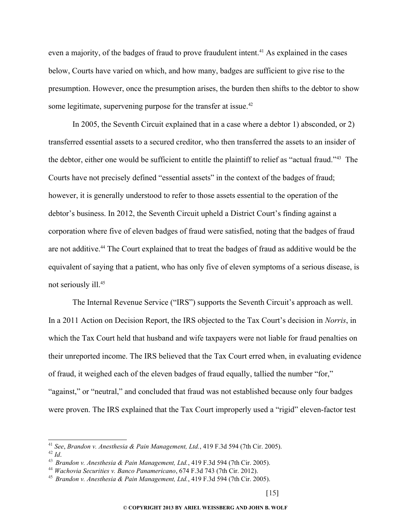even a majority, of the badges of fraud to prove fraudulent intent.<sup>[41](#page-14-0)</sup> As explained in the cases below, Courts have varied on which, and how many, badges are sufficient to give rise to the presumption. However, once the presumption arises, the burden then shifts to the debtor to show some legitimate, supervening purpose for the transfer at issue.<sup>[42](#page-14-1)</sup>

In 2005, the Seventh Circuit explained that in a case where a debtor 1) absconded, or 2) transferred essential assets to a secured creditor, who then transferred the assets to an insider of the debtor, either one would be sufficient to entitle the plaintiff to relief as "actual fraud."[43](#page-14-2) The Courts have not precisely defined "essential assets" in the context of the badges of fraud; however, it is generally understood to refer to those assets essential to the operation of the debtor's business. In 2012, the Seventh Circuit upheld a District Court's finding against a corporation where five of eleven badges of fraud were satisfied, noting that the badges of fraud are not additive.<sup>[44](#page-14-3)</sup> The Court explained that to treat the badges of fraud as additive would be the equivalent of saying that a patient, who has only five of eleven symptoms of a serious disease, is not seriously ill.[45](#page-14-4)

The Internal Revenue Service ("IRS") supports the Seventh Circuit's approach as well. In a 2011 Action on Decision Report, the IRS objected to the Tax Court's decision in *Norris*, in which the Tax Court held that husband and wife taxpayers were not liable for fraud penalties on their unreported income. The IRS believed that the Tax Court erred when, in evaluating evidence of fraud, it weighed each of the eleven badges of fraud equally, tallied the number "for," "against," or "neutral," and concluded that fraud was not established because only four badges were proven. The IRS explained that the Tax Court improperly used a "rigid" eleven-factor test

<span id="page-14-1"></span><span id="page-14-0"></span><sup>41</sup> *See*, *Brandon v. Anesthesia & Pain Management, Ltd.*, 419 F.3d 594 (7th Cir. 2005). <sup>42</sup> *Id*.

<span id="page-14-2"></span><sup>43</sup> *Brandon v. Anesthesia & Pain Management, Ltd.*, 419 F.3d 594 (7th Cir. 2005).

<span id="page-14-3"></span><sup>44</sup> *Wachovia Securities v. Banco Panamericano*, 674 F.3d 743 (7th Cir. 2012).

<span id="page-14-4"></span><sup>45</sup> *Brandon v. Anesthesia & Pain Management, Ltd.*, 419 F.3d 594 (7th Cir. 2005).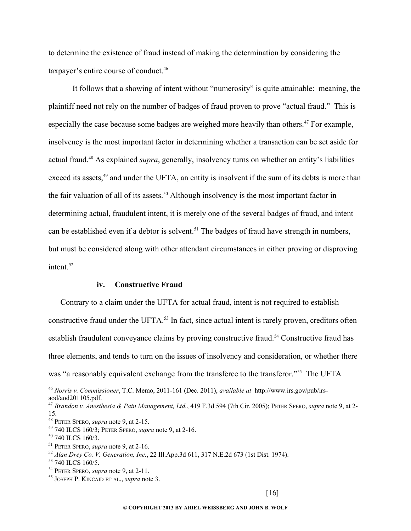to determine the existence of fraud instead of making the determination by considering the taxpayer's entire course of conduct.[46](#page-15-0)

It follows that a showing of intent without "numerosity" is quite attainable: meaning, the plaintiff need not rely on the number of badges of fraud proven to prove "actual fraud." This is especially the case because some badges are weighed more heavily than others.<sup>[47](#page-15-1)</sup> For example, insolvency is the most important factor in determining whether a transaction can be set aside for actual fraud.[48](#page-15-2) As explained *supra*, generally, insolvency turns on whether an entity's liabilities exceed its assets,<sup>[49](#page-15-3)</sup> and under the UFTA, an entity is insolvent if the sum of its debts is more than the fair valuation of all of its assets.<sup>[50](#page-15-4)</sup> Although insolvency is the most important factor in determining actual, fraudulent intent, it is merely one of the several badges of fraud, and intent can be established even if a debtor is solvent.<sup>[51](#page-15-5)</sup> The badges of fraud have strength in numbers, but must be considered along with other attendant circumstances in either proving or disproving intent. $52$ 

#### **iv. Constructive Fraud**

Contrary to a claim under the UFTA for actual fraud, intent is not required to establish constructive fraud under the UFTA.<sup>[53](#page-15-7)</sup> In fact, since actual intent is rarely proven, creditors often establish fraudulent conveyance claims by proving constructive fraud.<sup>[54](#page-15-8)</sup> Constructive fraud has three elements, and tends to turn on the issues of insolvency and consideration, or whether there was "a reasonably equivalent exchange from the transferee to the transferor."<sup>[55](#page-15-9)</sup> The UFTA

<span id="page-15-0"></span><sup>46</sup> *Norris v. Commissioner*, T.C. Memo, 2011-161 (Dec. 2011), *available at* http://www.irs.gov/pub/irsaod/aod201105.pdf.

<span id="page-15-1"></span><sup>47</sup> *Brandon v. Anesthesia & Pain Management, Ltd.*, 419 F.3d 594 (7th Cir. 2005); PETER SPERO, *supra* note 9, at 2- 15.

<span id="page-15-2"></span><sup>48</sup> PETER SPERO, *supra* note 9, at 2-15.

<span id="page-15-3"></span><sup>49</sup> 740 ILCS 160/3; PETER SPERO, *supra* note 9, at 2-16.

<span id="page-15-4"></span><sup>50</sup> 740 ILCS 160/3.

<span id="page-15-5"></span><sup>51</sup> PETER SPERO, *supra* note 9, at 2-16.

<span id="page-15-6"></span><sup>52</sup> *Alan Drey Co. V. Generation, Inc.*, 22 Ill.App.3d 611, 317 N.E.2d 673 (1st Dist. 1974).

<span id="page-15-7"></span><sup>&</sup>lt;sup>53</sup> 740 ILCS 160/5.

<span id="page-15-8"></span><sup>54</sup> PETER SPERO, *supra* note 9, at 2-11.

<span id="page-15-9"></span><sup>55</sup> JOSEPH P. KINCAID ET AL., *supra* note 3.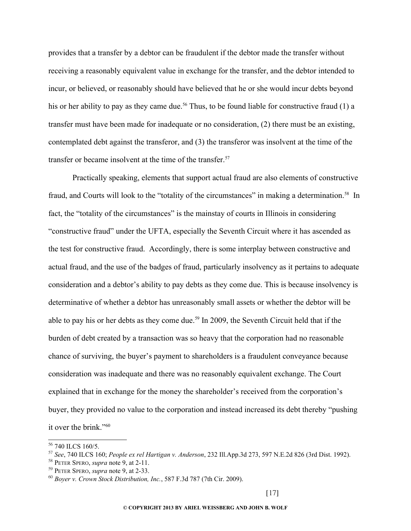provides that a transfer by a debtor can be fraudulent if the debtor made the transfer without receiving a reasonably equivalent value in exchange for the transfer, and the debtor intended to incur, or believed, or reasonably should have believed that he or she would incur debts beyond his or her ability to pay as they came due.<sup>[56](#page-16-0)</sup> Thus, to be found liable for constructive fraud (1) a transfer must have been made for inadequate or no consideration, (2) there must be an existing, contemplated debt against the transferor, and (3) the transferor was insolvent at the time of the transfer or became insolvent at the time of the transfer.<sup>[57](#page-16-1)</sup>

Practically speaking, elements that support actual fraud are also elements of constructive fraud, and Courts will look to the "totality of the circumstances" in making a determination.<sup>[58](#page-16-2)</sup> In fact, the "totality of the circumstances" is the mainstay of courts in Illinois in considering "constructive fraud" under the UFTA, especially the Seventh Circuit where it has ascended as the test for constructive fraud. Accordingly, there is some interplay between constructive and actual fraud, and the use of the badges of fraud, particularly insolvency as it pertains to adequate consideration and a debtor's ability to pay debts as they come due. This is because insolvency is determinative of whether a debtor has unreasonably small assets or whether the debtor will be able to pay his or her debts as they come due.<sup>[59](#page-16-3)</sup> In 2009, the Seventh Circuit held that if the burden of debt created by a transaction was so heavy that the corporation had no reasonable chance of surviving, the buyer's payment to shareholders is a fraudulent conveyance because consideration was inadequate and there was no reasonably equivalent exchange. The Court explained that in exchange for the money the shareholder's received from the corporation's buyer, they provided no value to the corporation and instead increased its debt thereby "pushing it over the brink."[60](#page-16-4)

<span id="page-16-0"></span><sup>&</sup>lt;sup>56</sup> 740 ILCS 160/5.

<span id="page-16-1"></span><sup>57</sup> *See*, 740 ILCS 160; *People ex rel Hartigan v. Anderson*, 232 Ill.App.3d 273, 597 N.E.2d 826 (3rd Dist. 1992).

<span id="page-16-2"></span><sup>58</sup> PETER SPERO, *supra* note 9, at 2-11.

<span id="page-16-3"></span><sup>59</sup> PETER SPERO, *supra* note 9, at 2-33.

<span id="page-16-4"></span><sup>60</sup> *Boyer v. Crown Stock Distribution, Inc.*, 587 F.3d 787 (7th Cir. 2009).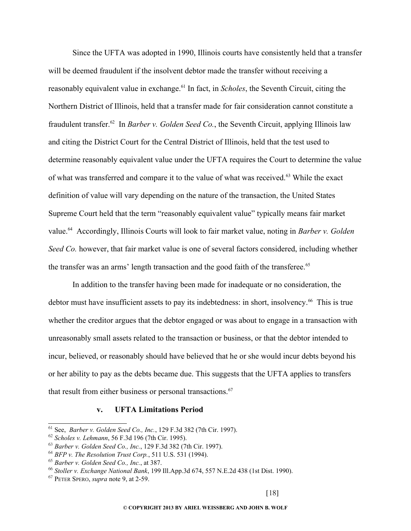Since the UFTA was adopted in 1990, Illinois courts have consistently held that a transfer will be deemed fraudulent if the insolvent debtor made the transfer without receiving a reasonably equivalent value in exchange.<sup>[61](#page-17-0)</sup> In fact, in *Scholes*, the Seventh Circuit, citing the Northern District of Illinois, held that a transfer made for fair consideration cannot constitute a fraudulent transfer.[62](#page-17-1) In *Barber v. Golden Seed Co.*, the Seventh Circuit, applying Illinois law and citing the District Court for the Central District of Illinois, held that the test used to determine reasonably equivalent value under the UFTA requires the Court to determine the value of what was transferred and compare it to the value of what was received.[63](#page-17-2) While the exact definition of value will vary depending on the nature of the transaction, the United States Supreme Court held that the term "reasonably equivalent value" typically means fair market value.[64](#page-17-3) Accordingly, Illinois Courts will look to fair market value, noting in *Barber v. Golden Seed Co.* however, that fair market value is one of several factors considered, including whether the transfer was an arms' length transaction and the good faith of the transferee.<sup>[65](#page-17-4)</sup>

In addition to the transfer having been made for inadequate or no consideration, the debtor must have insufficient assets to pay its indebtedness: in short, insolvency.<sup>[66](#page-17-5)</sup> This is true whether the creditor argues that the debtor engaged or was about to engage in a transaction with unreasonably small assets related to the transaction or business, or that the debtor intended to incur, believed, or reasonably should have believed that he or she would incur debts beyond his or her ability to pay as the debts became due. This suggests that the UFTA applies to transfers that result from either business or personal transactions.<sup>[67](#page-17-6)</sup>

## **v. UFTA Limitations Period**

<span id="page-17-0"></span><sup>61</sup> See, *Barber v. Golden Seed Co., Inc.*, 129 F.3d 382 (7th Cir. 1997).

<span id="page-17-1"></span><sup>62</sup> *Scholes v. Lehmann*, 56 F.3d 196 (7th Cir. 1995).

<span id="page-17-2"></span><sup>63</sup> *Barber v. Golden Seed Co., Inc.*, 129 F.3d 382 (7th Cir. 1997).

<span id="page-17-3"></span><sup>64</sup> *BFP v. The Resolution Trust Corp.*, 511 U.S. 531 (1994).

<span id="page-17-4"></span><sup>65</sup> *Barber v. Golden Seed Co., Inc.*, at 387.

<span id="page-17-5"></span><sup>66</sup> *Stoller v. Exchange National Bank*, 199 Ill.App.3d 674, 557 N.E.2d 438 (1st Dist. 1990).

<span id="page-17-6"></span><sup>67</sup> PETER SPERO, *supra* note 9, at 2-59.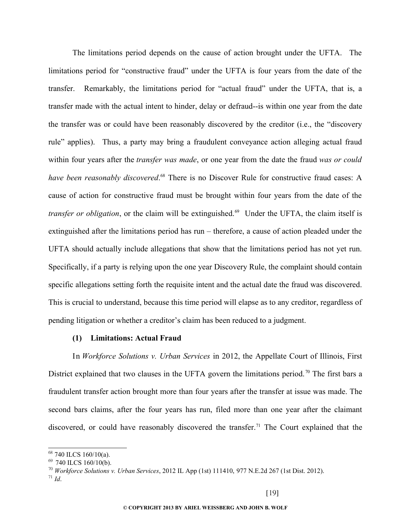The limitations period depends on the cause of action brought under the UFTA. The limitations period for "constructive fraud" under the UFTA is four years from the date of the transfer. Remarkably, the limitations period for "actual fraud" under the UFTA, that is, a transfer made with the actual intent to hinder, delay or defraud--is within one year from the date the transfer was or could have been reasonably discovered by the creditor (i.e., the "discovery rule" applies). Thus, a party may bring a fraudulent conveyance action alleging actual fraud within four years after the *transfer was made*, or one year from the date the fraud *was or could* have been reasonably discovered.<sup>[68](#page-18-0)</sup> There is no Discover Rule for constructive fraud cases: A cause of action for constructive fraud must be brought within four years from the date of the *transfer or obligation*, or the claim will be extinguished.<sup>[69](#page-18-1)</sup> Under the UFTA, the claim itself is extinguished after the limitations period has run – therefore, a cause of action pleaded under the UFTA should actually include allegations that show that the limitations period has not yet run. Specifically, if a party is relying upon the one year Discovery Rule, the complaint should contain specific allegations setting forth the requisite intent and the actual date the fraud was discovered. This is crucial to understand, because this time period will elapse as to any creditor, regardless of pending litigation or whether a creditor's claim has been reduced to a judgment.

#### **(1) Limitations: Actual Fraud**

In *Workforce Solutions v. Urban Services* in 2012, the Appellate Court of Illinois, First District explained that two clauses in the UFTA govern the limitations period.<sup>[70](#page-18-2)</sup> The first bars a fraudulent transfer action brought more than four years after the transfer at issue was made. The second bars claims, after the four years has run, filed more than one year after the claimant discovered, or could have reasonably discovered the transfer.<sup>[71](#page-18-3)</sup> The Court explained that the

<span id="page-18-0"></span><sup>68</sup> 740 ILCS 160/10(a).

<span id="page-18-1"></span> $69$  740 ILCS 160/10(b).

<span id="page-18-3"></span><span id="page-18-2"></span><sup>70</sup> *Workforce Solutions v. Urban Services*, 2012 IL App (1st) 111410, 977 N.E.2d 267 (1st Dist. 2012). <sup>71</sup> *Id*.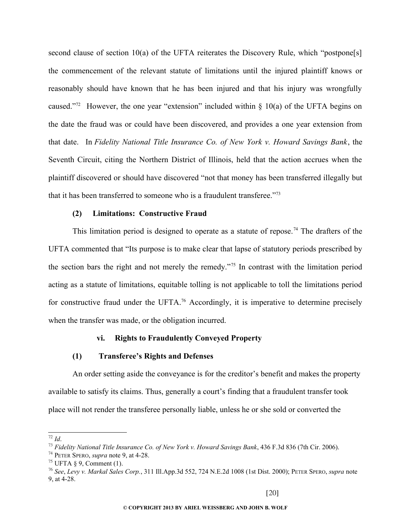second clause of section 10(a) of the UFTA reiterates the Discovery Rule, which "postpone[s] the commencement of the relevant statute of limitations until the injured plaintiff knows or reasonably should have known that he has been injured and that his injury was wrongfully caused."<sup>[72](#page-19-0)</sup> However, the one year "extension" included within  $\S$  10(a) of the UFTA begins on the date the fraud was or could have been discovered, and provides a one year extension from that date. In *Fidelity National Title Insurance Co. of New York v. Howard Savings Bank*, the Seventh Circuit, citing the Northern District of Illinois, held that the action accrues when the plaintiff discovered or should have discovered "not that money has been transferred illegally but that it has been transferred to someone who is a fraudulent transferee."<sup>[73](#page-19-1)</sup>

#### **(2) Limitations: Constructive Fraud**

This limitation period is designed to operate as a statute of repose.<sup>[74](#page-19-2)</sup> The drafters of the UFTA commented that "Its purpose is to make clear that lapse of statutory periods prescribed by the section bars the right and not merely the remedy."[75](#page-19-3) In contrast with the limitation period acting as a statute of limitations, equitable tolling is not applicable to toll the limitations period for constructive fraud under the UFTA.<sup>[76](#page-19-4)</sup> Accordingly, it is imperative to determine precisely when the transfer was made, or the obligation incurred.

## **vi. Rights to Fraudulently Conveyed Property**

#### **(1) Transferee's Rights and Defenses**

An order setting aside the conveyance is for the creditor's benefit and makes the property available to satisfy its claims. Thus, generally a court's finding that a fraudulent transfer took place will not render the transferee personally liable, unless he or she sold or converted the

<span id="page-19-0"></span><sup>72</sup> *Id*.

<span id="page-19-1"></span><sup>73</sup> *Fidelity National Title Insurance Co. of New York v. Howard Savings Bank*, 436 F.3d 836 (7th Cir. 2006).

<span id="page-19-2"></span><sup>74</sup> PETER SPERO, *supra* note 9, at 4-28.

<span id="page-19-3"></span><sup>&</sup>lt;sup>75</sup> UFTA § 9, Comment (1).

<span id="page-19-4"></span><sup>76</sup> *See*, *Levy v. Markal Sales Corp.*, 311 Ill.App.3d 552, 724 N.E.2d 1008 (1st Dist. 2000); PETER SPERO, *supra* note 9, at 4-28.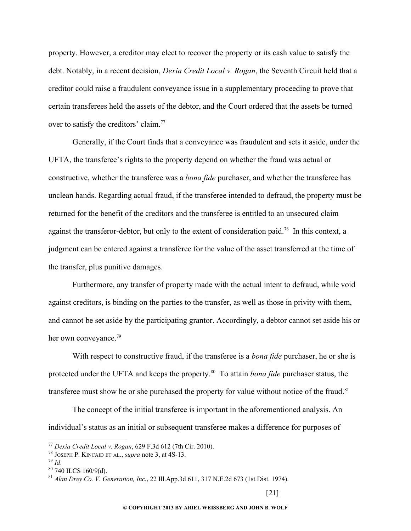property. However, a creditor may elect to recover the property or its cash value to satisfy the debt. Notably, in a recent decision, *Dexia Credit Local v. Rogan*, the Seventh Circuit held that a creditor could raise a fraudulent conveyance issue in a supplementary proceeding to prove that certain transferees held the assets of the debtor, and the Court ordered that the assets be turned over to satisfy the creditors' claim.<sup>[77](#page-20-0)</sup>

Generally, if the Court finds that a conveyance was fraudulent and sets it aside, under the UFTA, the transferee's rights to the property depend on whether the fraud was actual or constructive, whether the transferee was a *bona fide* purchaser, and whether the transferee has unclean hands. Regarding actual fraud, if the transferee intended to defraud, the property must be returned for the benefit of the creditors and the transferee is entitled to an unsecured claim against the transferor-debtor, but only to the extent of consideration paid.<sup>[78](#page-20-1)</sup> In this context, a judgment can be entered against a transferee for the value of the asset transferred at the time of the transfer, plus punitive damages.

Furthermore, any transfer of property made with the actual intent to defraud, while void against creditors, is binding on the parties to the transfer, as well as those in privity with them, and cannot be set aside by the participating grantor. Accordingly, a debtor cannot set aside his or her own conveyance.<sup>[79](#page-20-2)</sup>

With respect to constructive fraud, if the transferee is a *bona fide* purchaser, he or she is protected under the UFTA and keeps the property.[80](#page-20-3) To attain *bona fide* purchaser status, the transferee must show he or she purchased the property for value without notice of the fraud.<sup>[81](#page-20-4)</sup>

The concept of the initial transferee is important in the aforementioned analysis. An individual's status as an initial or subsequent transferee makes a difference for purposes of

<span id="page-20-0"></span><sup>77</sup> *Dexia Credit Local v. Rogan*, 629 F.3d 612 (7th Cir. 2010).

<span id="page-20-1"></span><sup>78</sup> JOSEPH P. KINCAID ET AL., *supra* note 3, at 4S-13.

<span id="page-20-2"></span><sup>79</sup> *Id*.

<span id="page-20-3"></span><sup>80</sup> 740 ILCS 160/9(d).

<span id="page-20-4"></span><sup>81</sup> *Alan Drey Co. V. Generation, Inc.*, 22 Ill.App.3d 611, 317 N.E.2d 673 (1st Dist. 1974).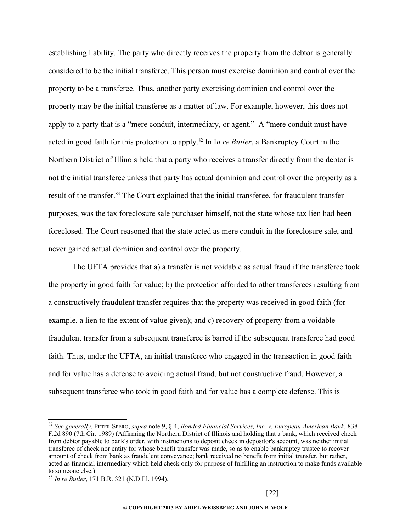establishing liability. The party who directly receives the property from the debtor is generally considered to be the initial transferee. This person must exercise dominion and control over the property to be a transferee. Thus, another party exercising dominion and control over the property may be the initial transferee as a matter of law. For example, however, this does not apply to a party that is a "mere conduit, intermediary, or agent." A "mere conduit must have acted in good faith for this protection to apply.[82](#page-21-0) In I*n re Butler*, a Bankruptcy Court in the Northern District of Illinois held that a party who receives a transfer directly from the debtor is not the initial transferee unless that party has actual dominion and control over the property as a result of the transfer.<sup>[83](#page-21-1)</sup> The Court explained that the initial transferee, for fraudulent transfer purposes, was the tax foreclosure sale purchaser himself, not the state whose tax lien had been foreclosed. The Court reasoned that the state acted as mere conduit in the foreclosure sale, and never gained actual dominion and control over the property.

The UFTA provides that a) a transfer is not voidable as actual fraud if the transferee took the property in good faith for value; b) the protection afforded to other transferees resulting from a constructively fraudulent transfer requires that the property was received in good faith (for example, a lien to the extent of value given); and c) recovery of property from a voidable fraudulent transfer from a subsequent transferee is barred if the subsequent transferee had good faith. Thus, under the UFTA, an initial transferee who engaged in the transaction in good faith and for value has a defense to avoiding actual fraud, but not constructive fraud. However, a subsequent transferee who took in good faith and for value has a complete defense. This is

<span id="page-21-0"></span><sup>82</sup> *See generally,* PETER SPERO, *supra* note 9, § 4; *Bonded Financial Services, Inc. v. European American Bank*, 838 F.2d 890 (7th Cir. 1989) (Affirming the Northern District of Illinois and holding that a bank, which received check from debtor payable to bank's order, with instructions to deposit check in depositor's account, was neither initial transferee of check nor entity for whose benefit transfer was made, so as to enable bankruptcy trustee to recover amount of check from bank as fraudulent conveyance; bank received no benefit from initial transfer, but rather, acted as financial intermediary which held check only for purpose of fulfilling an instruction to make funds available to someone else.)

<span id="page-21-1"></span><sup>83</sup> *In re Butler*, 171 B.R. 321 (N.D.Ill. 1994).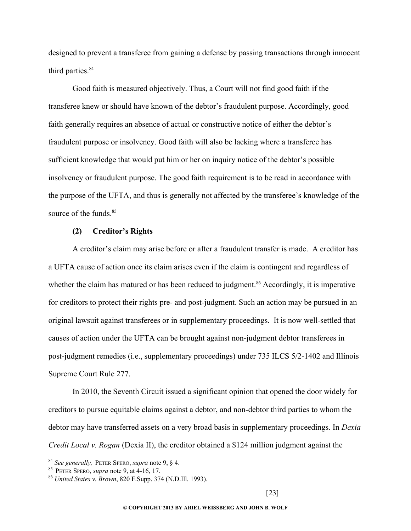designed to prevent a transferee from gaining a defense by passing transactions through innocent third parties.<sup>[84](#page-22-0)</sup>

Good faith is measured objectively. Thus, a Court will not find good faith if the transferee knew or should have known of the debtor's fraudulent purpose. Accordingly, good faith generally requires an absence of actual or constructive notice of either the debtor's fraudulent purpose or insolvency. Good faith will also be lacking where a transferee has sufficient knowledge that would put him or her on inquiry notice of the debtor's possible insolvency or fraudulent purpose. The good faith requirement is to be read in accordance with the purpose of the UFTA, and thus is generally not affected by the transferee's knowledge of the source of the funds.<sup>[85](#page-22-1)</sup>

#### **(2) Creditor's Rights**

A creditor's claim may arise before or after a fraudulent transfer is made. A creditor has a UFTA cause of action once its claim arises even if the claim is contingent and regardless of whether the claim has matured or has been reduced to judgment.<sup>[86](#page-22-2)</sup> Accordingly, it is imperative for creditors to protect their rights pre- and post-judgment. Such an action may be pursued in an original lawsuit against transferees or in supplementary proceedings. It is now well-settled that causes of action under the UFTA can be brought against non-judgment debtor transferees in post-judgment remedies (i.e., supplementary proceedings) under 735 ILCS 5/2-1402 and Illinois Supreme Court Rule 277.

In 2010, the Seventh Circuit issued a significant opinion that opened the door widely for creditors to pursue equitable claims against a debtor, and non-debtor third parties to whom the debtor may have transferred assets on a very broad basis in supplementary proceedings. In *Dexia Credit Local v. Rogan* (Dexia II), the creditor obtained a \$124 million judgment against the

<span id="page-22-0"></span><sup>84</sup> *See generally,* PETER SPERO, *supra* note 9, § 4.

<span id="page-22-1"></span><sup>85</sup> PETER SPERO, *supra* note 9, at 4-16, 17.

<span id="page-22-2"></span><sup>86</sup> *United States v. Brown*, 820 F.Supp. 374 (N.D.Ill. 1993).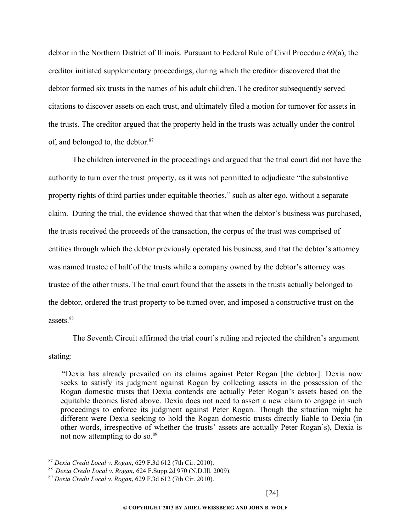debtor in the Northern District of Illinois. Pursuant to Federal Rule of Civil Procedure 69(a), the creditor initiated supplementary proceedings, during which the creditor discovered that the debtor formed six trusts in the names of his adult children. The creditor subsequently served citations to discover assets on each trust, and ultimately filed a motion for turnover for assets in the trusts. The creditor argued that the property held in the trusts was actually under the control of, and belonged to, the debtor.<sup>[87](#page-23-0)</sup>

The children intervened in the proceedings and argued that the trial court did not have the authority to turn over the trust property, as it was not permitted to adjudicate "the substantive property rights of third parties under equitable theories," such as alter ego, without a separate claim. During the trial, the evidence showed that that when the debtor's business was purchased, the trusts received the proceeds of the transaction, the corpus of the trust was comprised of entities through which the debtor previously operated his business, and that the debtor's attorney was named trustee of half of the trusts while a company owned by the debtor's attorney was trustee of the other trusts. The trial court found that the assets in the trusts actually belonged to the debtor, ordered the trust property to be turned over, and imposed a constructive trust on the assets.<sup>[88](#page-23-1)</sup>

The Seventh Circuit affirmed the trial court's ruling and rejected the children's argument

#### stating:

"Dexia has already prevailed on its claims against Peter Rogan [the debtor]. Dexia now seeks to satisfy its judgment against Rogan by collecting assets in the possession of the Rogan domestic trusts that Dexia contends are actually Peter Rogan's assets based on the equitable theories listed above. Dexia does not need to assert a new claim to engage in such proceedings to enforce its judgment against Peter Rogan. Though the situation might be different were Dexia seeking to hold the Rogan domestic trusts directly liable to Dexia (in other words, irrespective of whether the trusts' assets are actually Peter Rogan's), Dexia is not now attempting to do so. $89$ 

<span id="page-23-0"></span><sup>87</sup> *Dexia Credit Local v. Rogan*, 629 F.3d 612 (7th Cir. 2010).

<span id="page-23-1"></span><sup>88</sup> *Dexia Credit Local v. Rogan*, 624 F.Supp.2d 970 (N.D.Ill. 2009).

<span id="page-23-2"></span><sup>89</sup> *Dexia Credit Local v. Rogan*, 629 F.3d 612 (7th Cir. 2010).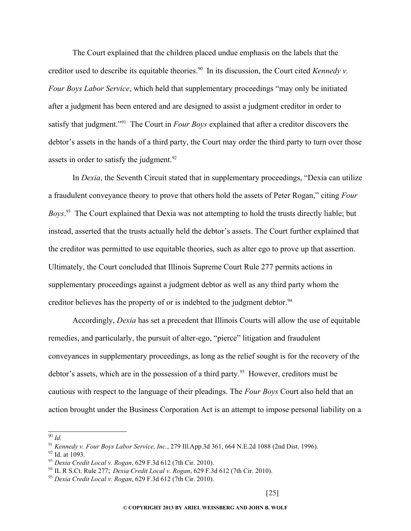The Court explained that the children placed undue emphasis on the labels that the creditor used to describe its equitable theories.<sup>[90](#page-24-0)</sup> In its discussion, the Court cited *Kennedy v. Four Boys Labor Service*, which held that supplementary proceedings "may only be initiated after a judgment has been entered and are designed to assist a judgment creditor in order to satisfy that judgment."[91](#page-24-1) The Court in *Four Boys* explained that after a creditor discovers the debtor's assets in the hands of a third party, the Court may order the third party to turn over those assets in order to satisfy the judgment.<sup>[92](#page-24-2)</sup>

In *Dexia*, the Seventh Circuit stated that in supplementary proceedings, "Dexia can utilize a fraudulent conveyance theory to prove that others hold the assets of Peter Rogan," citing *Four Boys*. [93](#page-24-3) The Court explained that Dexia was not attempting to hold the trusts directly liable; but instead, asserted that the trusts actually held the debtor's assets. The Court further explained that the creditor was permitted to use equitable theories, such as alter ego to prove up that assertion. Ultimately, the Court concluded that Illinois Supreme Court Rule 277 permits actions in supplementary proceedings against a judgment debtor as well as any third party whom the creditor believes has the property of or is indebted to the judgment debtor.<sup>[94](#page-24-4)</sup>

Accordingly, *Dexia* has set a precedent that Illinois Courts will allow the use of equitable remedies, and particularly, the pursuit of alter-ego, "pierce" litigation and fraudulent conveyances in supplementary proceedings, as long as the relief sought is for the recovery of the debtor's assets, which are in the possession of a third party.<sup>[95](#page-24-5)</sup> However, creditors must be cautious with respect to the language of their pleadings. The *Four Boys* Court also held that an action brought under the Business Corporation Act is an attempt to impose personal liability on a

<span id="page-24-0"></span><sup>90</sup> *Id.*

<span id="page-24-1"></span><sup>91</sup> *Kennedy v. Four Boys Labor Service, Inc.*, 279 Ill.App.3d 361, 664 N.E.2d 1088 (2nd Dist. 1996).

<span id="page-24-2"></span> $92$  Id. at 1093.

<span id="page-24-3"></span><sup>93</sup> *Dexia Credit Local v. Rogan*, 629 F.3d 612 (7th Cir. 2010).

<span id="page-24-4"></span><sup>94</sup> IL R S.Ct. Rule 277; *Dexia Credit Local v. Rogan*, 629 F.3d 612 (7th Cir. 2010).

<span id="page-24-5"></span><sup>95</sup> *Dexia Credit Local v. Rogan*, 629 F.3d 612 (7th Cir. 2010).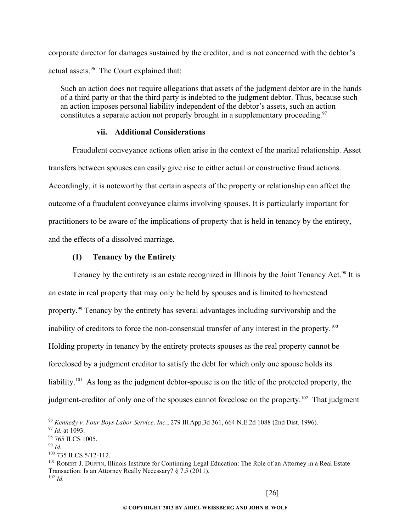corporate director for damages sustained by the creditor, and is not concerned with the debtor's actual assets.<sup>[96](#page-25-0)</sup> The Court explained that:

Such an action does not require allegations that assets of the judgment debtor are in the hands of a third party or that the third party is indebted to the judgment debtor. Thus, because such an action imposes personal liability independent of the debtor's assets, such an action constitutes a separate action not properly brought in a supplementary proceeding.<sup>[97](#page-25-1)</sup>

## **vii. Additional Considerations**

Fraudulent conveyance actions often arise in the context of the marital relationship. Asset transfers between spouses can easily give rise to either actual or constructive fraud actions. Accordingly, it is noteworthy that certain aspects of the property or relationship can affect the outcome of a fraudulent conveyance claims involving spouses. It is particularly important for practitioners to be aware of the implications of property that is held in tenancy by the entirety, and the effects of a dissolved marriage.

## **(1) Tenancy by the Entirety**

Tenancy by the entirety is an estate recognized in Illinois by the Joint Tenancy Act.<sup>[98](#page-25-2)</sup> It is an estate in real property that may only be held by spouses and is limited to homestead property.[99](#page-25-3) Tenancy by the entirety has several advantages including survivorship and the inability of creditors to force the non-consensual transfer of any interest in the property.<sup>[100](#page-25-4)</sup> Holding property in tenancy by the entirety protects spouses as the real property cannot be foreclosed by a judgment creditor to satisfy the debt for which only one spouse holds its liability.<sup>[101](#page-25-5)</sup> As long as the judgment debtor-spouse is on the title of the protected property, the judgment-creditor of only one of the spouses cannot foreclose on the property.<sup>[102](#page-25-6)</sup> That judgment

<span id="page-25-0"></span><sup>96</sup> *Kennedy v. Four Boys Labor Service, Inc.*, 279 Ill.App.3d 361, 664 N.E.2d 1088 (2nd Dist. 1996).

<span id="page-25-1"></span><sup>97</sup> *Id.* at 1093.

<span id="page-25-2"></span><sup>98 765</sup> ILCS 1005.

<span id="page-25-3"></span><sup>99</sup> *Id.*

<span id="page-25-4"></span><sup>100</sup> 735 ILCS 5/12-112.

<span id="page-25-6"></span><span id="page-25-5"></span><sup>&</sup>lt;sup>101</sup> ROBERT J. DUFFIN, Illinois Institute for Continuing Legal Education: The Role of an Attorney in a Real Estate Transaction: Is an Attorney Really Necessary? § 7.5 (2011). <sup>102</sup> *Id.*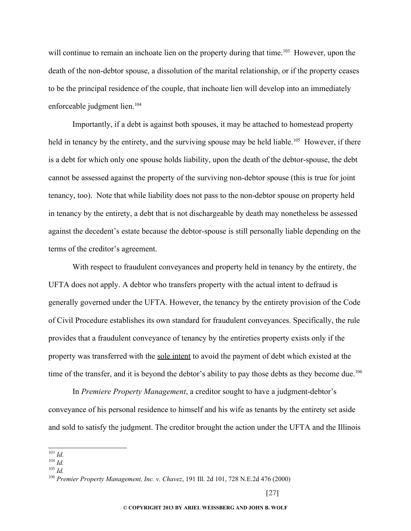will continue to remain an inchoate lien on the property during that time.<sup>[103](#page-26-0)</sup> However, upon the death of the non-debtor spouse, a dissolution of the marital relationship, or if the property ceases to be the principal residence of the couple, that inchoate lien will develop into an immediately enforceable judgment lien.<sup>[104](#page-26-1)</sup>

Importantly, if a debt is against both spouses, it may be attached to homestead property held in tenancy by the entirety, and the surviving spouse may be held liable.<sup>[105](#page-26-2)</sup> However, if there is a debt for which only one spouse holds liability, upon the death of the debtor-spouse, the debt cannot be assessed against the property of the surviving non-debtor spouse (this is true for joint tenancy, too). Note that while liability does not pass to the non-debtor spouse on property held in tenancy by the entirety, a debt that is not dischargeable by death may nonetheless be assessed against the decedent's estate because the debtor-spouse is still personally liable depending on the terms of the creditor's agreement.

With respect to fraudulent conveyances and property held in tenancy by the entirety, the UFTA does not apply. A debtor who transfers property with the actual intent to defraud is generally governed under the UFTA. However, the tenancy by the entirety provision of the Code of Civil Procedure establishes its own standard for fraudulent conveyances. Specifically, the rule provides that a fraudulent conveyance of tenancy by the entireties property exists only if the property was transferred with the sole intent to avoid the payment of debt which existed at the time of the transfer, and it is beyond the debtor's ability to pay those debts as they become due.<sup>[106](#page-26-3)</sup>

In *Premiere Property Management*, a creditor sought to have a judgment-debtor's conveyance of his personal residence to himself and his wife as tenants by the entirety set aside and sold to satisfy the judgment. The creditor brought the action under the UFTA and the Illinois

<span id="page-26-0"></span><sup>103</sup> *Id.*

<span id="page-26-1"></span><sup>104</sup> *Id.*

<span id="page-26-2"></span><sup>105</sup> *Id.*

<span id="page-26-3"></span><sup>106</sup> *Premier Property Management, Inc. v. Chavez*, 191 Ill. 2d 101, 728 N.E.2d 476 (2000)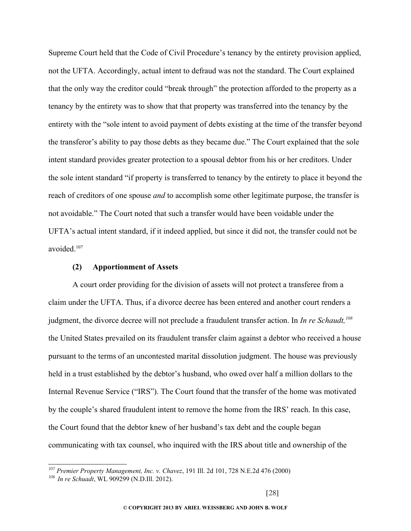Supreme Court held that the Code of Civil Procedure's tenancy by the entirety provision applied, not the UFTA. Accordingly, actual intent to defraud was not the standard. The Court explained that the only way the creditor could "break through" the protection afforded to the property as a tenancy by the entirety was to show that that property was transferred into the tenancy by the entirety with the "sole intent to avoid payment of debts existing at the time of the transfer beyond the transferor's ability to pay those debts as they became due." The Court explained that the sole intent standard provides greater protection to a spousal debtor from his or her creditors. Under the sole intent standard "if property is transferred to tenancy by the entirety to place it beyond the reach of creditors of one spouse *and* to accomplish some other legitimate purpose, the transfer is not avoidable." The Court noted that such a transfer would have been voidable under the UFTA's actual intent standard, if it indeed applied, but since it did not, the transfer could not be avoided<sup>[107](#page-27-0)</sup>

## **(2) Apportionment of Assets**

A court order providing for the division of assets will not protect a transferee from a claim under the UFTA. Thus, if a divorce decree has been entered and another court renders a judgment, the divorce decree will not preclude a fraudulent transfer action. In *In re Schaudt,[108](#page-27-1)* the United States prevailed on its fraudulent transfer claim against a debtor who received a house pursuant to the terms of an uncontested marital dissolution judgment. The house was previously held in a trust established by the debtor's husband, who owed over half a million dollars to the Internal Revenue Service ("IRS"). The Court found that the transfer of the home was motivated by the couple's shared fraudulent intent to remove the home from the IRS' reach. In this case, the Court found that the debtor knew of her husband's tax debt and the couple began communicating with tax counsel, who inquired with the IRS about title and ownership of the

<span id="page-27-0"></span><sup>107</sup> *Premier Property Management, Inc. v. Chavez*, 191 Ill. 2d 101, 728 N.E.2d 476 (2000)

<span id="page-27-1"></span><sup>108</sup> *In re Schuadt*, WL 909299 (N.D.Ill. 2012).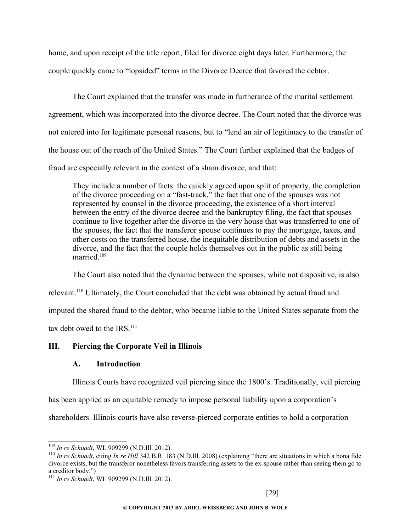home, and upon receipt of the title report, filed for divorce eight days later. Furthermore, the couple quickly came to "lopsided" terms in the Divorce Decree that favored the debtor.

The Court explained that the transfer was made in furtherance of the marital settlement agreement, which was incorporated into the divorce decree. The Court noted that the divorce was not entered into for legitimate personal reasons, but to "lend an air of legitimacy to the transfer of the house out of the reach of the United States." The Court further explained that the badges of fraud are especially relevant in the context of a sham divorce, and that:

They include a number of facts: the quickly agreed upon split of property, the completion of the divorce proceeding on a "fast-track," the fact that one of the spouses was not represented by counsel in the divorce proceeding, the existence of a short interval between the entry of the divorce decree and the bankruptcy filing, the fact that spouses continue to live together after the divorce in the very house that was transferred to one of the spouses, the fact that the transferor spouse continues to pay the mortgage, taxes, and other costs on the transferred house, the inequitable distribution of debts and assets in the divorce, and the fact that the couple holds themselves out in the public as still being married<sup>[109](#page-28-0)</sup>

The Court also noted that the dynamic between the spouses, while not dispositive, is also relevant.[110](#page-28-1) Ultimately, the Court concluded that the debt was obtained by actual fraud and imputed the shared fraud to the debtor, who became liable to the United States separate from the tax debt owed to the  $IRS$ .<sup>[111](#page-28-2)</sup>

## **III. Piercing the Corporate Veil in Illinois**

## **A. Introduction**

Illinois Courts have recognized veil piercing since the 1800's. Traditionally, veil piercing

has been applied as an equitable remedy to impose personal liability upon a corporation's

shareholders. Illinois courts have also reverse-pierced corporate entities to hold a corporation

<span id="page-28-0"></span><sup>109</sup> *In re Schuadt*, WL 909299 (N.D.Ill. 2012).

<span id="page-28-1"></span><sup>110</sup> *In re Schuadt*, citing *In re Hill* 342 B.R. 183 (N.D.Ill. 2008) (explaining "there are situations in which a bona fide divorce exists, but the transferor nonetheless favors transferring assets to the ex-spouse rather than seeing them go to a creditor body.")

<span id="page-28-2"></span><sup>111</sup> *In re Schuadt*, WL 909299 (N.D.Ill. 2012).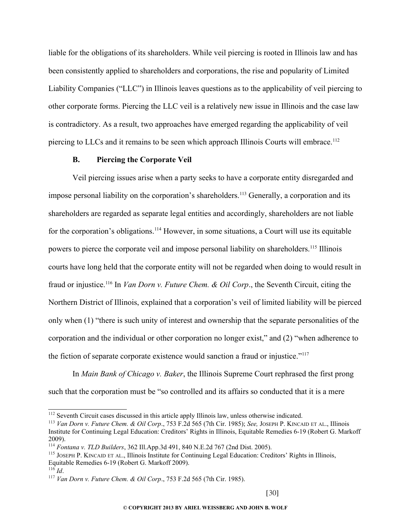liable for the obligations of its shareholders. While veil piercing is rooted in Illinois law and has been consistently applied to shareholders and corporations, the rise and popularity of Limited Liability Companies ("LLC") in Illinois leaves questions as to the applicability of veil piercing to other corporate forms. Piercing the LLC veil is a relatively new issue in Illinois and the case law is contradictory. As a result, two approaches have emerged regarding the applicability of veil piercing to LLCs and it remains to be seen which approach Illinois Courts will embrace.<sup>[112](#page-29-0)</sup>

#### **B. Piercing the Corporate Veil**

Veil piercing issues arise when a party seeks to have a corporate entity disregarded and impose personal liability on the corporation's shareholders.<sup>[113](#page-29-1)</sup> Generally, a corporation and its shareholders are regarded as separate legal entities and accordingly, shareholders are not liable for the corporation's obligations.<sup>[114](#page-29-2)</sup> However, in some situations, a Court will use its equitable powers to pierce the corporate veil and impose personal liability on shareholders.<sup>[115](#page-29-3)</sup> Illinois courts have long held that the corporate entity will not be regarded when doing to would result in fraud or injustice.[116](#page-29-4) In *Van Dorn v. Future Chem. & Oil Corp*., the Seventh Circuit, citing the Northern District of Illinois, explained that a corporation's veil of limited liability will be pierced only when (1) "there is such unity of interest and ownership that the separate personalities of the corporation and the individual or other corporation no longer exist," and (2) "when adherence to the fiction of separate corporate existence would sanction a fraud or injustice."[117](#page-29-5)

In *Main Bank of Chicago v. Baker*, the Illinois Supreme Court rephrased the first prong such that the corporation must be "so controlled and its affairs so conducted that it is a mere

<span id="page-29-0"></span><sup>&</sup>lt;sup>112</sup> Seventh Circuit cases discussed in this article apply Illinois law, unless otherwise indicated.

<span id="page-29-1"></span><sup>113</sup> *Van Dorn v. Future Chem. & Oil Corp*., 753 F.2d 565 (7th Cir. 1985); *See,* JOSEPH P. KINCAID ET AL., Illinois Institute for Continuing Legal Education: Creditors' Rights in Illinois, Equitable Remedies 6-19 (Robert G. Markoff 2009).

<span id="page-29-2"></span><sup>114</sup> *Fontana v. TLD Builders*, 362 Ill.App.3d 491, 840 N.E.2d 767 (2nd Dist. 2005).

<span id="page-29-3"></span><sup>115</sup> JOSEPH P. KINCAID ET AL., Illinois Institute for Continuing Legal Education: Creditors' Rights in Illinois, Equitable Remedies 6-19 (Robert G. Markoff 2009).

<span id="page-29-4"></span> $^{116}$  *Id*.

<span id="page-29-5"></span><sup>117</sup> *Van Dorn v. Future Chem. & Oil Corp*., 753 F.2d 565 (7th Cir. 1985).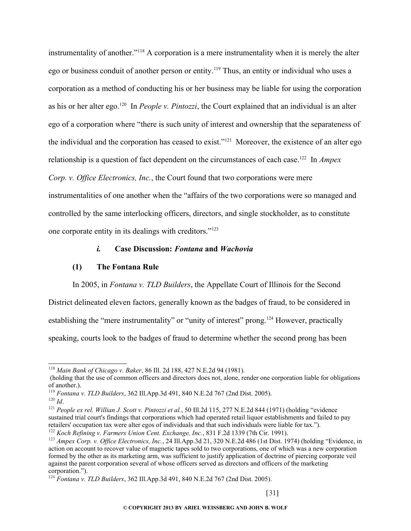instrumentality of another."[118](#page-30-0) A corporation is a mere instrumentality when it is merely the alter ego or business conduit of another person or entity.[119](#page-30-1) Thus, an entity or individual who uses a corporation as a method of conducting his or her business may be liable for using the corporation as his or her alter ego.[120](#page-30-2) In *People v. Pintozzi*, the Court explained that an individual is an alter ego of a corporation where "there is such unity of interest and ownership that the separateness of the individual and the corporation has ceased to exist."[121](#page-30-3) Moreover, the existence of an alter ego relationship is a question of fact dependent on the circumstances of each case.<sup>[122](#page-30-4)</sup> In *Ampex Corp. v. Office Electronics, Inc.*, the Court found that two corporations were mere instrumentalities of one another when the "affairs of the two corporations were so managed and controlled by the same interlocking officers, directors, and single stockholder, as to constitute one corporate entity in its dealings with creditors."[123](#page-30-5)

#### *i.* **Case Discussion:** *Fontana* **and** *Wachovia*

## **(1) The Fontana Rule**

In 2005, in *Fontana v. TLD Builders*, the Appellate Court of Illinois for the Second

District delineated eleven factors, generally known as the badges of fraud, to be considered in

establishing the "mere instrumentality" or "unity of interest" prong.<sup>[124](#page-30-6)</sup> However, practically

speaking, courts look to the badges of fraud to determine whether the second prong has been

<span id="page-30-0"></span><sup>118</sup> *Main Bank of Chicago v. Baker*, 86 Ill. 2d 188, 427 N.E.2d 94 (1981).

 <sup>(</sup>holding that the use of common officers and directors does not, alone, render one corporation liable for obligations of another.).

<span id="page-30-1"></span><sup>119</sup> *Fontana v. TLD Builders*, 362 Ill.App.3d 491, 840 N.E.2d 767 (2nd Dist. 2005).

<span id="page-30-2"></span> $120$  *Id.* 

<span id="page-30-3"></span><sup>121</sup> *People ex rel. Willian J. Scott v. Pintozzi et al.*, 50 Ill.2d 115, 277 N.E.2d 844 (1971) (holding "evidence sustained trial court's findings that corporations which had operated retail liquor establishments and failed to pay retailers' occupation tax were alter egos of individuals and that such individuals were liable for tax."). <sup>122</sup> *Koch Refining v. Farmers Union Cent. Exchange, Inc.*, 831 F.2d 1339 (7th Cir. 1991).

<span id="page-30-4"></span>

<span id="page-30-5"></span><sup>123</sup> *Ampex Corp. v. Office Electronics, Inc.*, 24 Ill.App.3d 21, 320 N.E.2d 486 (1st Dist. 1974) (holding "Evidence, in action on account to recover value of magnetic tapes sold to two corporations, one of which was a new corporation formed by the other as its marketing arm, was sufficient to justify application of doctrine of piercing corporate veil against the parent corporation several of whose officers served as directors and officers of the marketing corporation.").

<span id="page-30-6"></span><sup>124</sup> *Fontana v. TLD Builders*, 362 Ill.App.3d 491, 840 N.E.2d 767 (2nd Dist. 2005).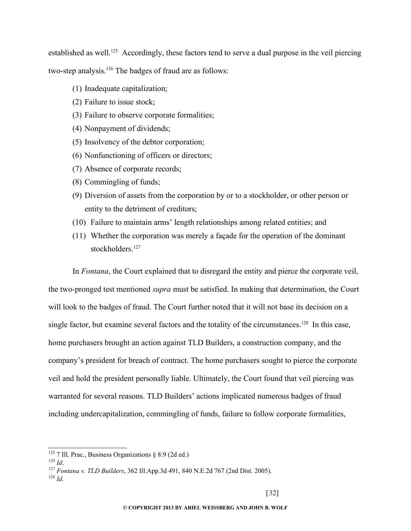established as well.<sup>[125](#page-31-0)</sup> Accordingly, these factors tend to serve a dual purpose in the veil piercing two-step analysis.<sup>[126](#page-31-1)</sup> The badges of fraud are as follows:

- (1) Inadequate capitalization;
- (2) Failure to issue stock;
- (3) Failure to observe corporate formalities;
- (4) Nonpayment of dividends;
- (5) Insolvency of the debtor corporation;
- (6) Nonfunctioning of officers or directors;
- (7) Absence of corporate records;
- (8) Commingling of funds;
- (9) Diversion of assets from the corporation by or to a stockholder, or other person or entity to the detriment of creditors;
- (10) Failure to maintain arms' length relationships among related entities; and
- (11) Whether the corporation was merely a façade for the operation of the dominant stockholders.<sup>[127](#page-31-2)</sup>

In *Fontana*, the Court explained that to disregard the entity and pierce the corporate veil, the two-pronged test mentioned *supra* must be satisfied. In making that determination, the Court will look to the badges of fraud. The Court further noted that it will not base its decision on a single factor, but examine several factors and the totality of the circumstances.<sup>[128](#page-31-3)</sup> In this case, home purchasers brought an action against TLD Builders, a construction company, and the company's president for breach of contract. The home purchasers sought to pierce the corporate veil and hold the president personally liable. Ultimately, the Court found that veil piercing was warranted for several reasons. TLD Builders' actions implicated numerous badges of fraud including undercapitalization, commingling of funds, failure to follow corporate formalities,

<span id="page-31-0"></span><sup>&</sup>lt;sup>125</sup> 7 Ill. Prac., Business Organizations  $\frac{88.9}{2}$  (2d ed.)

<span id="page-31-1"></span><sup>126</sup> *Id*.

<span id="page-31-2"></span><sup>127</sup> *Fontana v. TLD Builders*, 362 Ill.App.3d 491, 840 N.E.2d 767 (2nd Dist. 2005).

<span id="page-31-3"></span><sup>128</sup> *Id.*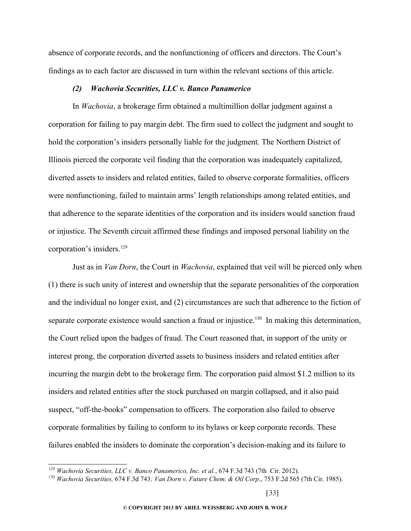absence of corporate records, and the nonfunctioning of officers and directors. The Court's findings as to each factor are discussed in turn within the relevant sections of this article.

#### *(2) Wachovia Securities, LLC v. Banco Panamerico*

In *Wachovia*, a brokerage firm obtained a multimillion dollar judgment against a corporation for failing to pay margin debt. The firm sued to collect the judgment and sought to hold the corporation's insiders personally liable for the judgment. The Northern District of Illinois pierced the corporate veil finding that the corporation was inadequately capitalized, diverted assets to insiders and related entities, failed to observe corporate formalities, officers were nonfunctioning, failed to maintain arms' length relationships among related entities, and that adherence to the separate identities of the corporation and its insiders would sanction fraud or injustice. The Seventh circuit affirmed these findings and imposed personal liability on the corporation's insiders.[129](#page-32-0)

Just as in *Van Dorn*, the Court in *Wachovia*, explained that veil will be pierced only when (1) there is such unity of interest and ownership that the separate personalities of the corporation and the individual no longer exist, and (2) circumstances are such that adherence to the fiction of separate corporate existence would sanction a fraud or injustice.<sup>[130](#page-32-1)</sup> In making this determination, the Court relied upon the badges of fraud. The Court reasoned that, in support of the unity or interest prong, the corporation diverted assets to business insiders and related entities after incurring the margin debt to the brokerage firm. The corporation paid almost \$1.2 million to its insiders and related entities after the stock purchased on margin collapsed, and it also paid suspect, "off-the-books" compensation to officers. The corporation also failed to observe corporate formalities by failing to conform to its bylaws or keep corporate records. These failures enabled the insiders to dominate the corporation's decision-making and its failure to

<span id="page-32-0"></span><sup>129</sup> *Wachovia Securities, LLC v. Banco Panamerico, Inc. et al.*, 674 F.3d 743 (7th Cir. 2012).

<span id="page-32-1"></span><sup>130</sup> *Wachovia Securities,* 674 F.3d 743*; Van Dorn v. Future Chem. & Oil Corp*., 753 F.2d 565 (7th Cir. 1985).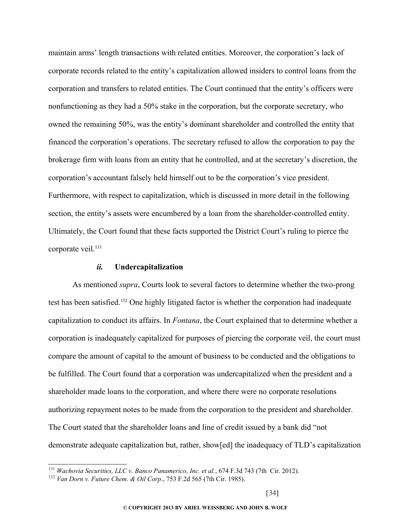maintain arms' length transactions with related entities. Moreover, the corporation's lack of corporate records related to the entity's capitalization allowed insiders to control loans from the corporation and transfers to related entities. The Court continued that the entity's officers were nonfunctioning as they had a 50% stake in the corporation, but the corporate secretary, who owned the remaining 50%, was the entity's dominant shareholder and controlled the entity that financed the corporation's operations. The secretary refused to allow the corporation to pay the brokerage firm with loans from an entity that he controlled, and at the secretary's discretion, the corporation's accountant falsely held himself out to be the corporation's vice president. Furthermore, with respect to capitalization, which is discussed in more detail in the following section, the entity's assets were encumbered by a loan from the shareholder-controlled entity. Ultimately, the Court found that these facts supported the District Court's ruling to pierce the corporate veil.<sup>[131](#page-33-0)</sup>

#### *ii.* **Undercapitalization**

As mentioned *supra*, Courts look to several factors to determine whether the two-prong test has been satisfied.[132](#page-33-1) One highly litigated factor is whether the corporation had inadequate capitalization to conduct its affairs. In *Fontana*, the Court explained that to determine whether a corporation is inadequately capitalized for purposes of piercing the corporate veil, the court must compare the amount of capital to the amount of business to be conducted and the obligations to be fulfilled. The Court found that a corporation was undercapitalized when the president and a shareholder made loans to the corporation, and where there were no corporate resolutions authorizing repayment notes to be made from the corporation to the president and shareholder. The Court stated that the shareholder loans and line of credit issued by a bank did "not demonstrate adequate capitalization but, rather, show[ed] the inadequacy of TLD's capitalization

<span id="page-33-0"></span><sup>131</sup> *Wachovia Securities, LLC v. Banco Panamerico, Inc. et al.*, 674 F.3d 743 (7th Cir. 2012).

<span id="page-33-1"></span><sup>132</sup> *Van Dorn v. Future Chem. & Oil Corp*., 753 F.2d 565 (7th Cir. 1985).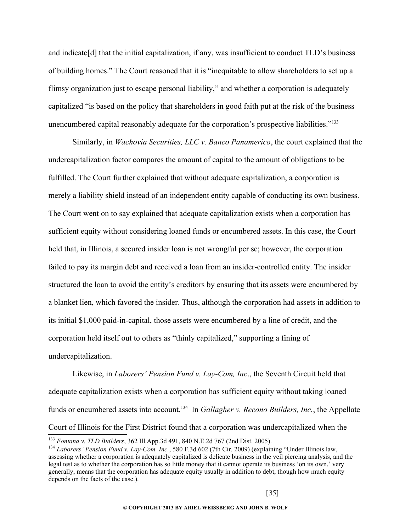and indicate[d] that the initial capitalization, if any, was insufficient to conduct TLD's business of building homes." The Court reasoned that it is "inequitable to allow shareholders to set up a flimsy organization just to escape personal liability," and whether a corporation is adequately capitalized "is based on the policy that shareholders in good faith put at the risk of the business unencumbered capital reasonably adequate for the corporation's prospective liabilities."[133](#page-34-0)

Similarly, in *Wachovia Securities, LLC v. Banco Panamerico*, the court explained that the undercapitalization factor compares the amount of capital to the amount of obligations to be fulfilled. The Court further explained that without adequate capitalization, a corporation is merely a liability shield instead of an independent entity capable of conducting its own business. The Court went on to say explained that adequate capitalization exists when a corporation has sufficient equity without considering loaned funds or encumbered assets. In this case, the Court held that, in Illinois, a secured insider loan is not wrongful per se; however, the corporation failed to pay its margin debt and received a loan from an insider-controlled entity. The insider structured the loan to avoid the entity's creditors by ensuring that its assets were encumbered by a blanket lien, which favored the insider. Thus, although the corporation had assets in addition to its initial \$1,000 paid-in-capital, those assets were encumbered by a line of credit, and the corporation held itself out to others as "thinly capitalized," supporting a fining of undercapitalization.

Likewise, in *Laborers' Pension Fund v. Lay-Com, Inc*., the Seventh Circuit held that adequate capitalization exists when a corporation has sufficient equity without taking loaned funds or encumbered assets into account.<sup>[134](#page-34-1)</sup> In *Gallagher v. Recono Builders, Inc.*, the Appellate Court of Illinois for the First District found that a corporation was undercapitalized when the

<span id="page-34-0"></span><sup>133</sup> *Fontana v. TLD Builders*, 362 Ill.App.3d 491, 840 N.E.2d 767 (2nd Dist. 2005).

<span id="page-34-1"></span><sup>134</sup> *Laborers' Pension Fund v. Lay-Com, Inc.*, 580 F.3d 602 (7th Cir. 2009) (explaining "Under Illinois law, assessing whether a corporation is adequately capitalized is delicate business in the veil piercing analysis, and the legal test as to whether the corporation has so little money that it cannot operate its business 'on its own,' very generally, means that the corporation has adequate equity usually in addition to debt, though how much equity depends on the facts of the case.).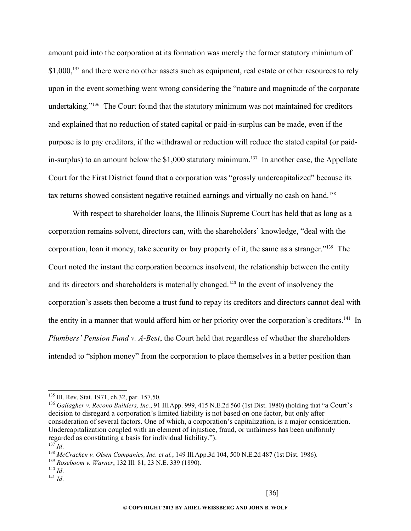amount paid into the corporation at its formation was merely the former statutory minimum of \$1,000,<sup>[135](#page-35-0)</sup> and there were no other assets such as equipment, real estate or other resources to rely upon in the event something went wrong considering the "nature and magnitude of the corporate undertaking."<sup>[136](#page-35-1)</sup> The Court found that the statutory minimum was not maintained for creditors and explained that no reduction of stated capital or paid-in-surplus can be made, even if the purpose is to pay creditors, if the withdrawal or reduction will reduce the stated capital (or paid-in-surplus) to an amount below the \$1,000 statutory minimum.<sup>[137](#page-35-2)</sup> In another case, the Appellate Court for the First District found that a corporation was "grossly undercapitalized" because its tax returns showed consistent negative retained earnings and virtually no cash on hand.<sup>[138](#page-35-3)</sup>

With respect to shareholder loans, the Illinois Supreme Court has held that as long as a corporation remains solvent, directors can, with the shareholders' knowledge, "deal with the corporation, loan it money, take security or buy property of it, the same as a stranger."[139](#page-35-4) The Court noted the instant the corporation becomes insolvent, the relationship between the entity and its directors and shareholders is materially changed.<sup>[140](#page-35-5)</sup> In the event of insolvency the corporation's assets then become a trust fund to repay its creditors and directors cannot deal with the entity in a manner that would afford him or her priority over the corporation's creditors.<sup>[141](#page-35-6)</sup> In *Plumbers' Pension Fund v. A-Best*, the Court held that regardless of whether the shareholders intended to "siphon money" from the corporation to place themselves in a better position than

<span id="page-35-5"></span><sup>140</sup> *Id*.

<span id="page-35-0"></span><sup>135</sup> Ill. Rev. Stat. 1971, ch.32, par. 157.50.

<span id="page-35-1"></span><sup>136</sup> *Gallagher v. Recono Builders, Inc.*, 91 Ill.App. 999, 415 N.E.2d 560 (1st Dist. 1980) (holding that "a Court's decision to disregard a corporation's limited liability is not based on one factor, but only after consideration of several factors. One of which, a corporation's capitalization, is a major consideration. Undercapitalization coupled with an element of injustice, fraud, or unfairness has been uniformly regarded as constituting a basis for individual liability.").  $^{137}$ *Id*.

<span id="page-35-3"></span><span id="page-35-2"></span><sup>138</sup> *McCracken v. Olsen Companies, Inc. et al.*, 149 Ill.App.3d 104, 500 N.E.2d 487 (1st Dist. 1986).

<span id="page-35-4"></span><sup>139</sup> *Roseboom v. Warner*, 132 Ill. 81, 23 N.E. 339 (1890).

<span id="page-35-6"></span><sup>141</sup> *Id*.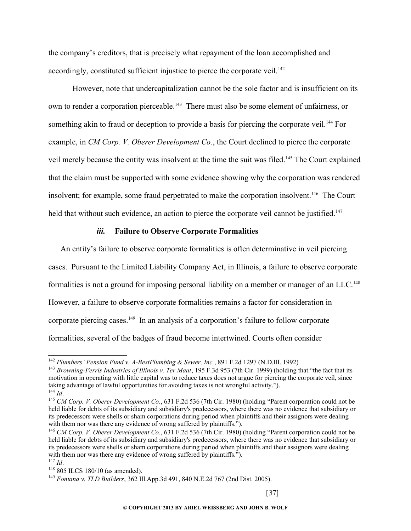the company's creditors, that is precisely what repayment of the loan accomplished and accordingly, constituted sufficient injustice to pierce the corporate veil.<sup>[142](#page-36-0)</sup>

However, note that undercapitalization cannot be the sole factor and is insufficient on its own to render a corporation pierceable.<sup>[143](#page-36-1)</sup> There must also be some element of unfairness, or something akin to fraud or deception to provide a basis for piercing the corporate veil.<sup>[144](#page-36-2)</sup> For example, in *CM Corp. V. Oberer Development Co.*, the Court declined to pierce the corporate veil merely because the entity was insolvent at the time the suit was filed.<sup>[145](#page-36-3)</sup> The Court explained that the claim must be supported with some evidence showing why the corporation was rendered insolvent; for example, some fraud perpetrated to make the corporation insolvent.<sup>[146](#page-36-4)</sup> The Court held that without such evidence, an action to pierce the corporate veil cannot be justified.<sup>[147](#page-36-5)</sup>

#### *iii.* **Failure to Observe Corporate Formalities**

An entity's failure to observe corporate formalities is often determinative in veil piercing cases. Pursuant to the Limited Liability Company Act, in Illinois, a failure to observe corporate formalities is not a ground for imposing personal liability on a member or manager of an LLC.<sup>[148](#page-36-6)</sup> However, a failure to observe corporate formalities remains a factor for consideration in corporate piercing cases.<sup>[149](#page-36-7)</sup> In an analysis of a corporation's failure to follow corporate formalities, several of the badges of fraud become intertwined. Courts often consider

<span id="page-36-0"></span><sup>142</sup> *Plumbers' Pension Fund v. A-BestPlumbing & Sewer, Inc.*, 891 F.2d 1297 (N.D.Ill. 1992)

<span id="page-36-1"></span><sup>143</sup> *Browning-Ferris Industries of Illinois v. Ter Maat*, 195 F.3d 953 (7th Cir. 1999) (holding that "the fact that its motivation in operating with little capital was to reduce taxes does not argue for piercing the corporate veil, since taking advantage of lawful opportunities for avoiding taxes is not wrongful activity."). <sup>144</sup> *Id*.

<span id="page-36-3"></span><span id="page-36-2"></span><sup>145</sup> *CM Corp. V. Oberer Development Co.*, 631 F.2d 536 (7th Cir. 1980) (holding "Parent corporation could not be held liable for debts of its subsidiary and subsidiary's predecessors, where there was no evidence that subsidiary or its predecessors were shells or sham corporations during period when plaintiffs and their assignors were dealing with them nor was there any evidence of wrong suffered by plaintiffs.").

<span id="page-36-4"></span><sup>146</sup> *CM Corp. V. Oberer Development Co.*, 631 F.2d 536 (7th Cir. 1980) (holding "Parent corporation could not be held liable for debts of its subsidiary and subsidiary's predecessors, where there was no evidence that subsidiary or its predecessors were shells or sham corporations during period when plaintiffs and their assignors were dealing with them nor was there any evidence of wrong suffered by plaintiffs.").

<span id="page-36-5"></span><sup>147</sup> *Id*.

<span id="page-36-6"></span><sup>148</sup> 805 ILCS 180/10 (as amended).

<span id="page-36-7"></span><sup>149</sup> *Fontana v. TLD Builders*, 362 Ill.App.3d 491, 840 N.E.2d 767 (2nd Dist. 2005).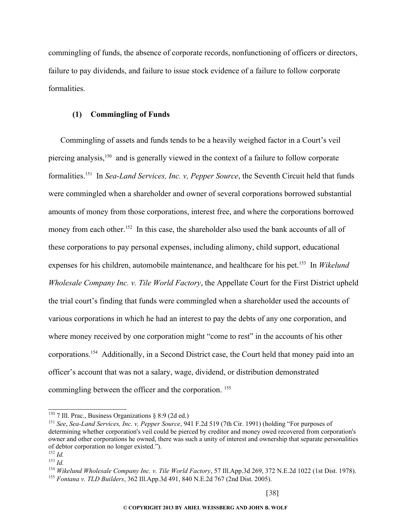commingling of funds, the absence of corporate records, nonfunctioning of officers or directors, failure to pay dividends, and failure to issue stock evidence of a failure to follow corporate formalities.

#### **(1) Commingling of Funds**

Commingling of assets and funds tends to be a heavily weighed factor in a Court's veil piercing analysis,[150](#page-37-0) and is generally viewed in the context of a failure to follow corporate formalities.[151](#page-37-1) In *Sea-Land Services, Inc. v, Pepper Source*, the Seventh Circuit held that funds were commingled when a shareholder and owner of several corporations borrowed substantial amounts of money from those corporations, interest free, and where the corporations borrowed money from each other.<sup>[152](#page-37-2)</sup> In this case, the shareholder also used the bank accounts of all of these corporations to pay personal expenses, including alimony, child support, educational expenses for his children, automobile maintenance, and healthcare for his pet.[153](#page-37-3) In *Wikelund Wholesale Company Inc. v. Tile World Factory*, the Appellate Court for the First District upheld the trial court's finding that funds were commingled when a shareholder used the accounts of various corporations in which he had an interest to pay the debts of any one corporation, and where money received by one corporation might "come to rest" in the accounts of his other corporations.[154](#page-37-4) Additionally, in a Second District case, the Court held that money paid into an officer's account that was not a salary, wage, dividend, or distribution demonstrated commingling between the officer and the corporation. [155](#page-37-5)

<span id="page-37-0"></span><sup>&</sup>lt;sup>150</sup> 7 Ill. Prac., Business Organizations  $\S 8:9$  (2d ed.)

<span id="page-37-1"></span><sup>151</sup> *See*, *Sea-Land Services, Inc. v, Pepper Source*, 941 F.2d 519 (7th Cir. 1991) (holding "For purposes of determining whether corporation's veil could be pierced by creditor and money owed recovered from corporation's owner and other corporations he owned, there was such a unity of interest and ownership that separate personalities of debtor corporation no longer existed.").

<span id="page-37-2"></span><sup>152</sup> *Id.*

<span id="page-37-3"></span><sup>153</sup> *Id.*

<span id="page-37-5"></span><span id="page-37-4"></span><sup>154</sup> *Wikelund Wholesale Company Inc. v. Tile World Factory*, 57 Ill.App.3d 269, 372 N.E.2d 1022 (1st Dist. 1978). <sup>155</sup> *Fontana v. TLD Builders*, 362 Ill.App.3d 491, 840 N.E.2d 767 (2nd Dist. 2005).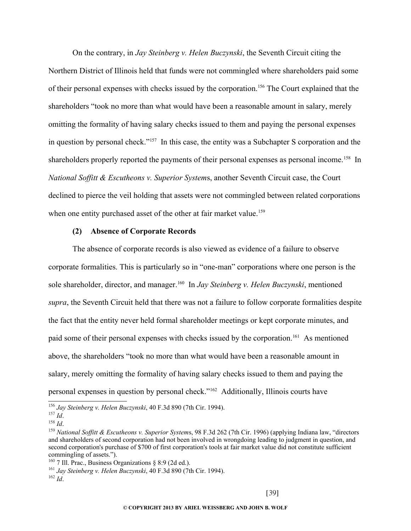On the contrary, in *Jay Steinberg v. Helen Buczynski*, the Seventh Circuit citing the Northern District of Illinois held that funds were not commingled where shareholders paid some of their personal expenses with checks issued by the corporation.<sup>[156](#page-38-0)</sup> The Court explained that the shareholders "took no more than what would have been a reasonable amount in salary, merely omitting the formality of having salary checks issued to them and paying the personal expenses in question by personal check."[157](#page-38-1) In this case, the entity was a Subchapter S corporation and the shareholders properly reported the payments of their personal expenses as personal income.<sup>[158](#page-38-2)</sup> In *National Soffitt & Escutheons v. Superior System*s, another Seventh Circuit case, the Court declined to pierce the veil holding that assets were not commingled between related corporations when one entity purchased asset of the other at fair market value.<sup>[159](#page-38-3)</sup>

#### **(2) Absence of Corporate Records**

The absence of corporate records is also viewed as evidence of a failure to observe corporate formalities. This is particularly so in "one-man" corporations where one person is the sole shareholder, director, and manager.[160](#page-38-4) In *Jay Steinberg v. Helen Buczynski*, mentioned *supra*, the Seventh Circuit held that there was not a failure to follow corporate formalities despite the fact that the entity never held formal shareholder meetings or kept corporate minutes, and paid some of their personal expenses with checks issued by the corporation.<sup>[161](#page-38-5)</sup> As mentioned above, the shareholders "took no more than what would have been a reasonable amount in salary, merely omitting the formality of having salary checks issued to them and paying the personal expenses in question by personal check."[162](#page-38-6) Additionally, Illinois courts have

<span id="page-38-0"></span><sup>156</sup> *Jay Steinberg v. Helen Buczynski*, 40 F.3d 890 (7th Cir. 1994).

<span id="page-38-1"></span><sup>157</sup> *Id*.

<span id="page-38-2"></span><sup>158</sup> *Id*.

<span id="page-38-3"></span><sup>159</sup> *National Soffitt & Escutheons v. Superior System*s, 98 F.3d 262 (7th Cir. 1996) (applying Indiana law, "directors and shareholders of second corporation had not been involved in wrongdoing leading to judgment in question, and second corporation's purchase of \$700 of first corporation's tools at fair market value did not constitute sufficient commingling of assets.").

<span id="page-38-4"></span><sup>&</sup>lt;sup>160</sup> 7 Ill. Prac., Business Organizations  $\S$  8:9 (2d ed.).

<span id="page-38-5"></span><sup>161</sup> *Jay Steinberg v. Helen Buczynski*, 40 F.3d 890 (7th Cir. 1994).

<span id="page-38-6"></span> $162 \, Id$ .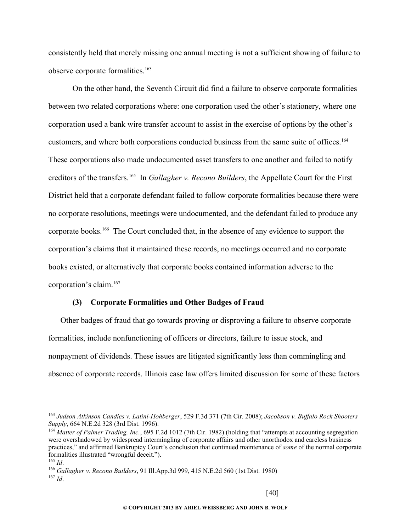consistently held that merely missing one annual meeting is not a sufficient showing of failure to observe corporate formalities.<sup>[163](#page-39-0)</sup>

On the other hand, the Seventh Circuit did find a failure to observe corporate formalities between two related corporations where: one corporation used the other's stationery, where one corporation used a bank wire transfer account to assist in the exercise of options by the other's customers, and where both corporations conducted business from the same suite of offices.<sup>[164](#page-39-1)</sup> These corporations also made undocumented asset transfers to one another and failed to notify creditors of the transfers.[165](#page-39-2) In *Gallagher v. Recono Builders*, the Appellate Court for the First District held that a corporate defendant failed to follow corporate formalities because there were no corporate resolutions, meetings were undocumented, and the defendant failed to produce any corporate books.[166](#page-39-3) The Court concluded that, in the absence of any evidence to support the corporation's claims that it maintained these records, no meetings occurred and no corporate books existed, or alternatively that corporate books contained information adverse to the corporation's claim.[167](#page-39-4)

#### **(3) Corporate Formalities and Other Badges of Fraud**

Other badges of fraud that go towards proving or disproving a failure to observe corporate formalities, include nonfunctioning of officers or directors, failure to issue stock, and nonpayment of dividends. These issues are litigated significantly less than commingling and absence of corporate records. Illinois case law offers limited discussion for some of these factors

<span id="page-39-0"></span><sup>163</sup> *Judson Atkinson Candies v. Latini-Hohberger*, 529 F.3d 371 (7th Cir. 2008); *Jacobson v. Buffalo Rock Shooters Supply*, 664 N.E.2d 328 (3rd Dist. 1996).

<span id="page-39-1"></span><sup>&</sup>lt;sup>164</sup> Matter of Palmer Trading, Inc., 695 F.2d 1012 (7th Cir. 1982) (holding that "attempts at accounting segregation were overshadowed by widespread intermingling of corporate affairs and other unorthodox and careless business practices," and affirmed Bankruptcy Court's conclusion that continued maintenance of *some* of the normal corporate formalities illustrated "wrongful deceit.").

<span id="page-39-2"></span><sup>165</sup> *Id*.

<span id="page-39-4"></span><span id="page-39-3"></span><sup>166</sup> *Gallagher v. Recono Builders*, 91 Ill.App.3d 999, 415 N.E.2d 560 (1st Dist. 1980) <sup>167</sup> *Id*.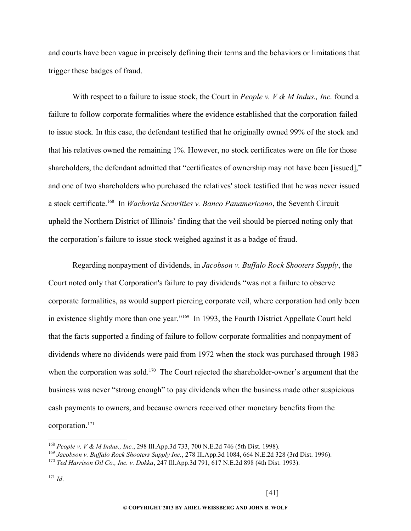and courts have been vague in precisely defining their terms and the behaviors or limitations that trigger these badges of fraud.

With respect to a failure to issue stock, the Court in *People v. V & M Indus., Inc.* found a failure to follow corporate formalities where the evidence established that the corporation failed to issue stock. In this case, the defendant testified that he originally owned 99% of the stock and that his relatives owned the remaining 1%. However, no stock certificates were on file for those shareholders, the defendant admitted that "certificates of ownership may not have been [issued]," and one of two shareholders who purchased the relatives' stock testified that he was never issued a stock certificate. [168](#page-40-0) In *Wachovia Securities v. Banco Panamericano*, the Seventh Circuit upheld the Northern District of Illinois' finding that the veil should be pierced noting only that the corporation's failure to issue stock weighed against it as a badge of fraud.

Regarding nonpayment of dividends, in *Jacobson v. Buffalo Rock Shooters Supply*, the Court noted only that Corporation's failure to pay dividends "was not a failure to observe corporate formalities, as would support piercing corporate veil, where corporation had only been in existence slightly more than one year."[169](#page-40-1) In 1993, the Fourth District Appellate Court held that the facts supported a finding of failure to follow corporate formalities and nonpayment of dividends where no dividends were paid from 1972 when the stock was purchased through 1983 when the corporation was sold.<sup>[170](#page-40-2)</sup> The Court rejected the shareholder-owner's argument that the business was never "strong enough" to pay dividends when the business made other suspicious cash payments to owners, and because owners received other monetary benefits from the corporation.[171](#page-40-3)

<span id="page-40-0"></span><sup>168</sup> *People v. V & M Indus., Inc.*, 298 Ill.App.3d 733, 700 N.E.2d 746 (5th Dist. 1998).

<span id="page-40-1"></span><sup>169</sup> *Jacobson v. Buffalo Rock Shooters Supply Inc.*, 278 Ill.App.3d 1084, 664 N.E.2d 328 (3rd Dist. 1996).

<span id="page-40-2"></span><sup>170</sup> *Ted Harrison Oil Co., Inc. v. Dokka*, 247 Ill.App.3d 791, 617 N.E.2d 898 (4th Dist. 1993).

<span id="page-40-3"></span><sup>171</sup> *Id*.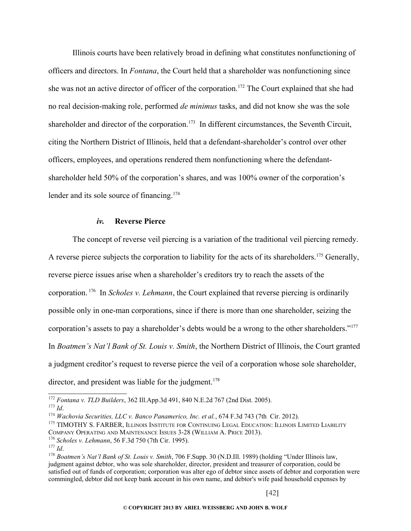Illinois courts have been relatively broad in defining what constitutes nonfunctioning of officers and directors. In *Fontana*, the Court held that a shareholder was nonfunctioning since she was not an active director of officer of the corporation.<sup>[172](#page-41-0)</sup> The Court explained that she had no real decision-making role, performed *de minimus* tasks, and did not know she was the sole shareholder and director of the corporation.<sup>[173](#page-41-1)</sup> In different circumstances, the Seventh Circuit, citing the Northern District of Illinois, held that a defendant-shareholder's control over other officers, employees, and operations rendered them nonfunctioning where the defendantshareholder held 50% of the corporation's shares, and was 100% owner of the corporation's lender and its sole source of financing.<sup>[174](#page-41-2)</sup>

## *iv.* **Reverse Pierce**

The concept of reverse veil piercing is a variation of the traditional veil piercing remedy. A reverse pierce subjects the corporation to liability for the acts of its shareholders.<sup>[175](#page-41-3)</sup> Generally, reverse pierce issues arise when a shareholder's creditors try to reach the assets of the corporation. [176](#page-41-4) In *Scholes v. Lehmann*, the Court explained that reverse piercing is ordinarily possible only in one-man corporations, since if there is more than one shareholder, seizing the corporation's assets to pay a shareholder's debts would be a wrong to the other shareholders."<sup>[177](#page-41-5)</sup> In *Boatmen's Nat'l Bank of St. Louis v. Smith*, the Northern District of Illinois, the Court granted a judgment creditor's request to reverse pierce the veil of a corporation whose sole shareholder, director, and president was liable for the judgment.<sup>[178](#page-41-6)</sup>

<span id="page-41-0"></span><sup>172</sup> *Fontana v. TLD Builders*, 362 Ill.App.3d 491, 840 N.E.2d 767 (2nd Dist. 2005).

<span id="page-41-1"></span><sup>173</sup> *Id*.

<span id="page-41-2"></span><sup>&</sup>lt;sup>174</sup> Wachovia Securities, LLC v. Banco Panamerico, Inc. et al., 674 F.3d 743 (7th Cir. 2012).

<span id="page-41-3"></span><sup>&</sup>lt;sup>175</sup> TIMOTHY S. FARBER, ILLINOIS INSTITUTE FOR CONTINUING LEGAL EDUCATION: ILLINOIS LIMITED LIABILITY COMPANY OPERATING AND MAINTENANCE ISSUES 3-28 (WILLIAM A. PRICE 2013).

<span id="page-41-4"></span><sup>176</sup> *Scholes v. Lehmann*, 56 F.3d 750 (7th Cir. 1995).

<span id="page-41-5"></span><sup>177</sup> *Id*.

<span id="page-41-6"></span><sup>178</sup> *Boatmen's Nat'l Bank of St. Louis v. Smith*, 706 F.Supp. 30 (N.D.Ill. 1989) (holding "Under Illinois law, judgment against debtor, who was sole shareholder, director, president and treasurer of corporation, could be satisfied out of funds of corporation; corporation was alter ego of debtor since assets of debtor and corporation were commingled, debtor did not keep bank account in his own name, and debtor's wife paid household expenses by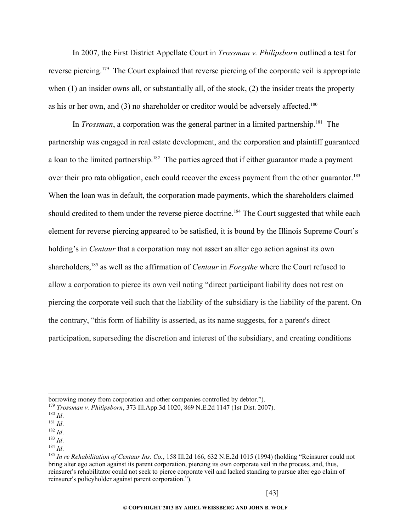In 2007, the First District Appellate Court in *Trossman v. Philipsborn* outlined a test for reverse piercing.[179](#page-42-0) The Court explained that reverse piercing of the corporate veil is appropriate when (1) an insider owns all, or substantially all, of the stock, (2) the insider treats the property as his or her own, and (3) no shareholder or creditor would be adversely affected.<sup>[180](#page-42-1)</sup>

In *Trossman*, a corporation was the general partner in a limited partnership.<sup>[181](#page-42-2)</sup> The partnership was engaged in real estate development, and the corporation and plaintiff guaranteed a loan to the limited partnership.<sup>[182](#page-42-3)</sup> The parties agreed that if either guarantor made a payment over their pro rata obligation, each could recover the excess payment from the other guarantor.<sup>[183](#page-42-4)</sup> When the loan was in default, the corporation made payments, which the shareholders claimed should credited to them under the reverse pierce doctrine.<sup>[184](#page-42-5)</sup> The Court suggested that while each element for reverse piercing appeared to be satisfied, it is bound by the Illinois Supreme Court's holding's in *Centaur* that a corporation may not assert an alter ego action against its own shareholders,[185](#page-42-6) as well as the affirmation of *Centaur* in *Forsythe* where the Court refused to allow a corporation to pierce its own veil noting "direct participant liability does not rest on piercing the corporate veil such that the liability of the subsidiary is the liability of the parent. On the contrary, "this form of liability is asserted, as its name suggests, for a parent's direct participation, superseding the discretion and interest of the subsidiary, and creating conditions

<span id="page-42-3"></span><span id="page-42-2"></span>borrowing money from corporation and other companies controlled by debtor.").

<span id="page-42-4"></span><span id="page-42-0"></span><sup>179</sup> *Trossman v. Philipsborn*, 373 Ill.App.3d 1020, 869 N.E.2d 1147 (1st Dist. 2007).

<span id="page-42-5"></span><span id="page-42-1"></span><sup>180</sup> *Id*.

<span id="page-42-6"></span><sup>181</sup> *Id*.

<sup>182</sup> *Id*.

<sup>183</sup> *Id*.

<sup>184</sup> *Id*.

<sup>185</sup> *In re Rehabilitation of Centaur Ins. Co.*, 158 Ill.2d 166, 632 N.E.2d 1015 (1994) (holding "Reinsurer could not bring alter ego action against its parent corporation, piercing its own corporate veil in the process, and, thus, reinsurer's rehabilitator could not seek to pierce corporate veil and lacked standing to pursue alter ego claim of reinsurer's policyholder against parent corporation.").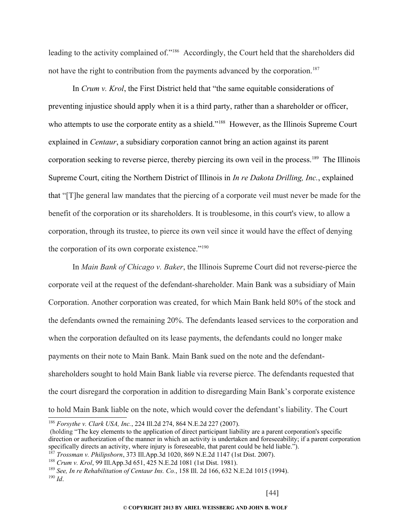leading to the activity complained of."[186](#page-43-0) Accordingly, the Court held that the shareholders did not have the right to contribution from the payments advanced by the corporation.<sup>[187](#page-43-1)</sup>

In *Crum v. Krol*, the First District held that "the same equitable considerations of preventing injustice should apply when it is a third party, rather than a shareholder or officer, who attempts to use the corporate entity as a shield."<sup>[188](#page-43-2)</sup> However, as the Illinois Supreme Court explained in *Centaur*, a subsidiary corporation cannot bring an action against its parent corporation seeking to reverse pierce, thereby piercing its own veil in the process.<sup>[189](#page-43-3)</sup> The Illinois Supreme Court, citing the Northern District of Illinois in *In re Dakota Drilling, Inc.*, explained that "[T]he general law mandates that the piercing of a corporate veil must never be made for the benefit of the corporation or its shareholders. It is troublesome, in this court's view, to allow a corporation, through its trustee, to pierce its own veil since it would have the effect of denying the corporation of its own corporate existence."<sup>[190](#page-43-4)</sup>

In *Main Bank of Chicago v. Baker*, the Illinois Supreme Court did not reverse-pierce the corporate veil at the request of the defendant-shareholder. Main Bank was a subsidiary of Main Corporation. Another corporation was created, for which Main Bank held 80% of the stock and the defendants owned the remaining 20%. The defendants leased services to the corporation and when the corporation defaulted on its lease payments, the defendants could no longer make payments on their note to Main Bank. Main Bank sued on the note and the defendantshareholders sought to hold Main Bank liable via reverse pierce. The defendants requested that the court disregard the corporation in addition to disregarding Main Bank's corporate existence to hold Main Bank liable on the note, which would cover the defendant's liability. The Court

<span id="page-43-0"></span><sup>186</sup> *Forsythe v. Clark USA, Inc.*, 224 Ill.2d 274, 864 N.E.2d 227 (2007).

 <sup>(</sup>holding "The key elements to the application of direct participant liability are a parent corporation's specific direction or authorization of the manner in which an activity is undertaken and foreseeability; if a parent corporation specifically directs an activity, where injury is foreseeable, that parent could be held liable.").

<span id="page-43-1"></span><sup>187</sup> *Trossman v. Philipsborn*, 373 Ill.App.3d 1020, 869 N.E.2d 1147 (1st Dist. 2007).

<span id="page-43-2"></span><sup>188</sup> *Crum v. Krol*, 99 Ill.App.3d 651, 425 N.E.2d 1081 (1st Dist. 1981).

<span id="page-43-4"></span><span id="page-43-3"></span><sup>189</sup> *See, In re Rehabilitation of Centaur Ins. Co.*, 158 Ill. 2d 166, 632 N.E.2d 1015 (1994). <sup>190</sup> *Id*.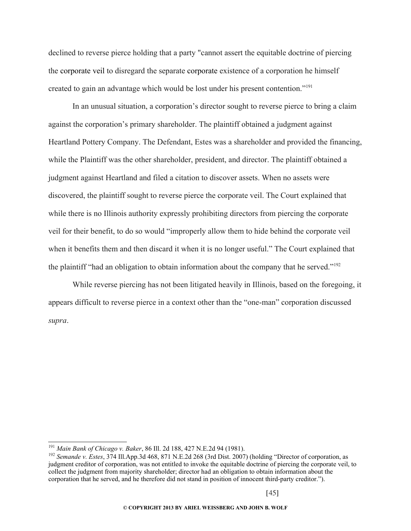declined to reverse pierce holding that a party "cannot assert the equitable doctrine of piercing the corporate veil to disregard the separate corporate existence of a corporation he himself created to gain an advantage which would be lost under his present contention."[191](#page-44-0)

In an unusual situation, a corporation's director sought to reverse pierce to bring a claim against the corporation's primary shareholder. The plaintiff obtained a judgment against Heartland Pottery Company. The Defendant, Estes was a shareholder and provided the financing, while the Plaintiff was the other shareholder, president, and director. The plaintiff obtained a judgment against Heartland and filed a citation to discover assets. When no assets were discovered, the plaintiff sought to reverse pierce the corporate veil. The Court explained that while there is no Illinois authority expressly prohibiting directors from piercing the corporate veil for their benefit, to do so would "improperly allow them to hide behind the corporate veil when it benefits them and then discard it when it is no longer useful." The Court explained that the plaintiff "had an obligation to obtain information about the company that he served."[192](#page-44-1)

While reverse piercing has not been litigated heavily in Illinois, based on the foregoing, it appears difficult to reverse pierce in a context other than the "one-man" corporation discussed *supra*.

<span id="page-44-0"></span><sup>191</sup> *Main Bank of Chicago v. Baker*, 86 Ill. 2d 188, 427 N.E.2d 94 (1981).

<span id="page-44-1"></span><sup>192</sup> *Semande v. Estes*, 374 Ill.App.3d 468, 871 N.E.2d 268 (3rd Dist. 2007) (holding "Director of corporation, as judgment creditor of corporation, was not entitled to invoke the equitable doctrine of piercing the corporate veil, to collect the judgment from majority shareholder; director had an obligation to obtain information about the corporation that he served, and he therefore did not stand in position of innocent third-party creditor.").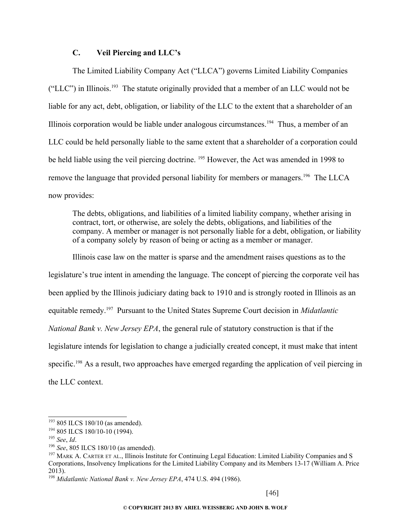## **C. Veil Piercing and LLC's**

The Limited Liability Company Act ("LLCA") governs Limited Liability Companies ("LLC") in Illinois.[193](#page-45-0) The statute originally provided that a member of an LLC would not be liable for any act, debt, obligation, or liability of the LLC to the extent that a shareholder of an Illinois corporation would be liable under analogous circumstances.<sup>[194](#page-45-1)</sup> Thus, a member of an LLC could be held personally liable to the same extent that a shareholder of a corporation could be held liable using the veil piercing doctrine. <sup>[195](#page-45-2)</sup> However, the Act was amended in 1998 to remove the language that provided personal liability for members or managers.[196](#page-45-3) The LLCA now provides:

The debts, obligations, and liabilities of a limited liability company, whether arising in contract, tort, or otherwise, are solely the debts, obligations, and liabilities of the company. A member or manager is not personally liable for a debt, obligation, or liability of a company solely by reason of being or acting as a member or manager.

Illinois case law on the matter is sparse and the amendment raises questions as to the legislature's true intent in amending the language. The concept of piercing the corporate veil has been applied by the Illinois judiciary dating back to 1910 and is strongly rooted in Illinois as an equitable remedy.[197](#page-45-4) Pursuant to the United States Supreme Court decision in *Midatlantic National Bank v. New Jersey EPA*, the general rule of statutory construction is that if the legislature intends for legislation to change a judicially created concept, it must make that intent specific.<sup>[198](#page-45-5)</sup> As a result, two approaches have emerged regarding the application of veil piercing in the LLC context.

<span id="page-45-0"></span> $193$  805 ILCS 180/10 (as amended).

<span id="page-45-1"></span><sup>194</sup> 805 ILCS 180/10-10 (1994).

<span id="page-45-2"></span><sup>195</sup> *See*, *Id*.

<span id="page-45-3"></span><sup>196</sup> *See*, 805 ILCS 180/10 (as amended).

<span id="page-45-4"></span><sup>&</sup>lt;sup>197</sup> MARK A. CARTER ET AL., Illinois Institute for Continuing Legal Education: Limited Liability Companies and S Corporations, Insolvency Implications for the Limited Liability Company and its Members 13-17 (William A. Price 2013).

<span id="page-45-5"></span><sup>198</sup> *Midatlantic National Bank v. New Jersey EPA*, 474 U.S. 494 (1986).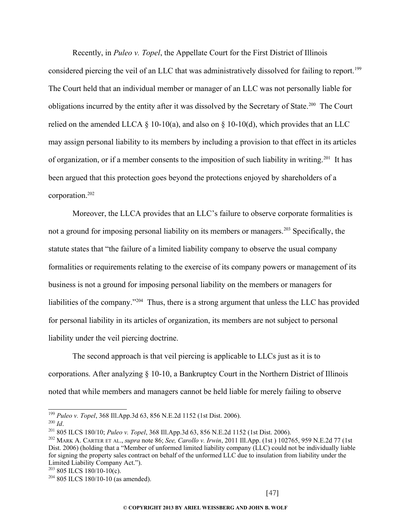Recently, in *Puleo v. Topel*, the Appellate Court for the First District of Illinois considered piercing the veil of an LLC that was administratively dissolved for failing to report.<sup>[199](#page-46-0)</sup> The Court held that an individual member or manager of an LLC was not personally liable for obligations incurred by the entity after it was dissolved by the Secretary of State.<sup>[200](#page-46-1)</sup> The Court relied on the amended LLCA § 10-10(a), and also on § 10-10(d), which provides that an LLC may assign personal liability to its members by including a provision to that effect in its articles of organization, or if a member consents to the imposition of such liability in writing.[201](#page-46-2) It has been argued that this protection goes beyond the protections enjoyed by shareholders of a corporation.[202](#page-46-3)

Moreover, the LLCA provides that an LLC's failure to observe corporate formalities is not a ground for imposing personal liability on its members or managers.<sup>[203](#page-46-4)</sup> Specifically, the statute states that "the failure of a limited liability company to observe the usual company formalities or requirements relating to the exercise of its company powers or management of its business is not a ground for imposing personal liability on the members or managers for liabilities of the company."[204](#page-46-5) Thus, there is a strong argument that unless the LLC has provided for personal liability in its articles of organization, its members are not subject to personal liability under the veil piercing doctrine.

The second approach is that veil piercing is applicable to LLCs just as it is to corporations. After analyzing § 10-10, a Bankruptcy Court in the Northern District of Illinois noted that while members and managers cannot be held liable for merely failing to observe

<span id="page-46-0"></span><sup>199</sup> *Puleo v. Topel*, 368 Ill.App.3d 63, 856 N.E.2d 1152 (1st Dist. 2006).

<span id="page-46-1"></span><sup>200</sup> *Id*.

<span id="page-46-2"></span><sup>201</sup> 805 ILCS 180/10; *Puleo v. Topel*, 368 Ill.App.3d 63, 856 N.E.2d 1152 (1st Dist. 2006).

<span id="page-46-3"></span><sup>202</sup> MARK A. CARTER ET AL., *supra* note 86; *See, Carollo v. Irwin*, 2011 Ill.App. (1st ) 102765, 959 N.E.2d 77 (1st Dist. 2006) (holding that a "Member of unformed limited liability company (LLC) could not be individually liable for signing the property sales contract on behalf of the unformed LLC due to insulation from liability under the Limited Liability Company Act.").

<span id="page-46-4"></span> $203805$  ILCS 180/10-10(c).

<span id="page-46-5"></span> $204805$  ILCS 180/10-10 (as amended).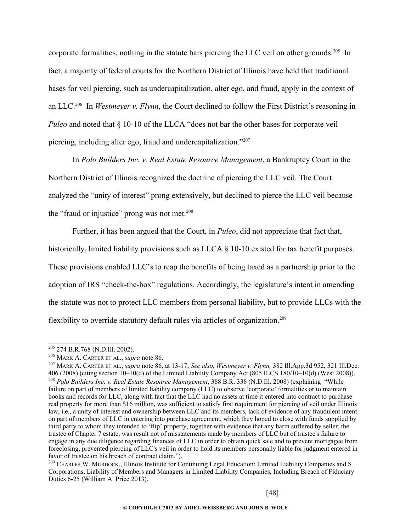corporate formalities, nothing in the statute bars piercing the LLC veil on other grounds.<sup>[205](#page-47-0)</sup> In fact, a majority of federal courts for the Northern District of Illinois have held that traditional bases for veil piercing, such as undercapitalization, alter ego, and fraud, apply in the context of an LLC.[206](#page-47-1) In *Westmeyer v. Flynn*, the Court declined to follow the First District's reasoning in *Puleo* and noted that § 10-10 of the LLCA "does not bar the other bases for corporate veil piercing, including alter ego, fraud and undercapitalization."[207](#page-47-2)

In *Polo Builders Inc. v. Real Estate Resource Management*, a Bankruptcy Court in the Northern District of Illinois recognized the doctrine of piercing the LLC veil. The Court analyzed the "unity of interest" prong extensively, but declined to pierce the LLC veil because the "fraud or injustice" prong was not met. $208$ 

Further, it has been argued that the Court, in *Puleo*, did not appreciate that fact that, historically, limited liability provisions such as LLCA  $\S$  10-10 existed for tax benefit purposes. These provisions enabled LLC's to reap the benefits of being taxed as a partnership prior to the adoption of IRS "check-the-box" regulations. Accordingly, the legislature's intent in amending the statute was not to protect LLC members from personal liability, but to provide LLCs with the flexibility to override statutory default rules via articles of organization.<sup>[209](#page-47-4)</sup>

<span id="page-47-0"></span><sup>205</sup> 274 B.R.768 (N.D.Ill. 2002).

<span id="page-47-1"></span><sup>206</sup> MARK A. CARTER ET AL., *supra* note 86.

<span id="page-47-3"></span><span id="page-47-2"></span><sup>207</sup> MARK A. CARTER ET AL., *supra* note 86, at 13-17; *See also*, *Westmeyer v. Flynn,* 382 Ill.App.3d 952, 321 Ill.Dec. 406 (2008) (citing section 10–10(d) of the Limited Liability Company Act (805 ILCS 180/10–10(d) (West 2008)). <sup>208</sup> *Polo Builders Inc. v. Real Estate Resource Management*, 388 B.R. 338 (N.D.Ill. 2008) (explaining "While failure on part of members of limited liability company (LLC) to observe 'corporate' formalities or to maintain books and records for LLC, along with fact that the LLC had no assets at time it entered into contract to purchase real property for more than \$16 million, was sufficient to satisfy first requirement for piercing of veil under Illinois law, i.e., a unity of interest and ownership between LLC and its members, lack of evidence of any fraudulent intent on part of members of LLC in entering into purchase agreement, which they hoped to close with funds supplied by third party to whom they intended to 'flip' property, together with evidence that any harm suffered by seller, the trustee of Chapter 7 estate, was result not of misstatements made by members of LLC but of trustee's failure to engage in any due diligence regarding finances of LLC in order to obtain quick sale and to prevent mortgagee from foreclosing, prevented piercing of LLC's veil in order to hold its members personally liable for judgment entered in favor of trustee on his breach of contract claim.").

<span id="page-47-4"></span><sup>&</sup>lt;sup>209</sup> CHARLES W. MURDOCK., Illinois Institute for Continuing Legal Education: Limited Liability Companies and S Corporations, Liability of Members and Managers in Limited Liability Companies, Including Breach of Fiduciary Duties 6-25 (William A. Price 2013).